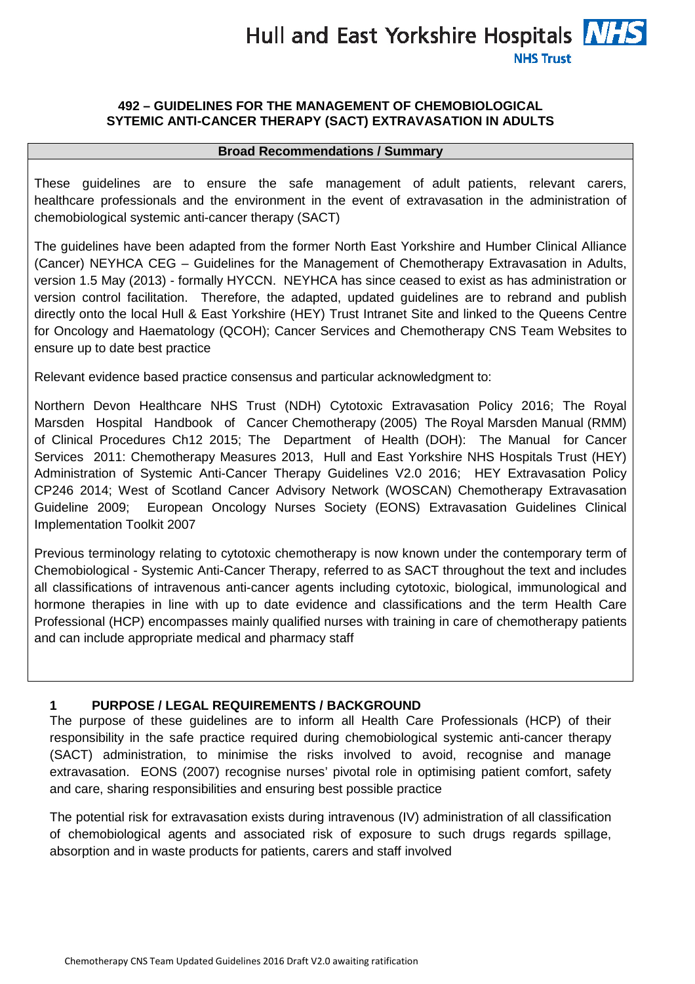Hull and East Yorkshire Hospitals **NHS NHS Trust** 

#### **492 – GUIDELINES FOR THE MANAGEMENT OF CHEMOBIOLOGICAL SYTEMIC ANTI-CANCER THERAPY (SACT) EXTRAVASATION IN ADULTS**

#### **Broad Recommendations / Summary**

These guidelines are to ensure the safe management of adult patients, relevant carers, healthcare professionals and the environment in the event of extravasation in the administration of chemobiological systemic anti-cancer therapy (SACT)

The guidelines have been adapted from the former North East Yorkshire and Humber Clinical Alliance (Cancer) NEYHCA CEG – Guidelines for the Management of Chemotherapy Extravasation in Adults, version 1.5 May (2013) - formally HYCCN. NEYHCA has since ceased to exist as has administration or version control facilitation. Therefore, the adapted, updated guidelines are to rebrand and publish directly onto the local Hull & East Yorkshire (HEY) Trust Intranet Site and linked to the Queens Centre for Oncology and Haematology (QCOH); Cancer Services and Chemotherapy CNS Team Websites to ensure up to date best practice

Relevant evidence based practice consensus and particular acknowledgment to:

Northern Devon Healthcare NHS Trust (NDH) Cytotoxic Extravasation Policy 2016; The Royal Marsden Hospital Handbook of Cancer Chemotherapy (2005) The Royal Marsden Manual (RMM) of Clinical Procedures Ch12 2015; The Department of Health (DOH): The Manual for Cancer Services 2011: Chemotherapy Measures 2013, Hull and East Yorkshire NHS Hospitals Trust (HEY) Administration of Systemic Anti-Cancer Therapy Guidelines V2.0 2016; HEY Extravasation Policy CP246 2014; West of Scotland Cancer Advisory Network (WOSCAN) Chemotherapy Extravasation Guideline 2009; European Oncology Nurses Society (EONS) Extravasation Guidelines Clinical Implementation Toolkit 2007

Previous terminology relating to cytotoxic chemotherapy is now known under the contemporary term of Chemobiological - Systemic Anti-Cancer Therapy, referred to as SACT throughout the text and includes all classifications of intravenous anti-cancer agents including cytotoxic, biological, immunological and hormone therapies in line with up to date evidence and classifications and the term Health Care Professional (HCP) encompasses mainly qualified nurses with training in care of chemotherapy patients and can include appropriate medical and pharmacy staff

#### **1 PURPOSE / LEGAL REQUIREMENTS / BACKGROUND**

The purpose of these guidelines are to inform all Health Care Professionals (HCP) of their responsibility in the safe practice required during chemobiological systemic anti-cancer therapy (SACT) administration, to minimise the risks involved to avoid, recognise and manage extravasation. EONS (2007) recognise nurses' pivotal role in optimising patient comfort, safety and care, sharing responsibilities and ensuring best possible practice

The potential risk for extravasation exists during intravenous (IV) administration of all classification of chemobiological agents and associated risk of exposure to such drugs regards spillage, absorption and in waste products for patients, carers and staff involved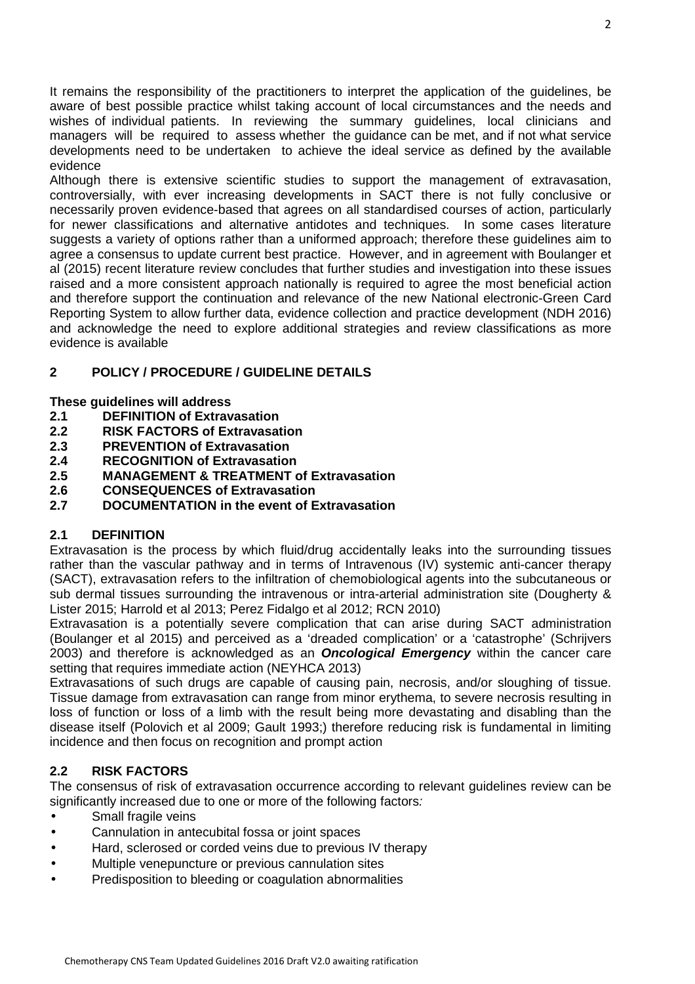It remains the responsibility of the practitioners to interpret the application of the guidelines, be aware of best possible practice whilst taking account of local circumstances and the needs and wishes of individual patients. In reviewing the summary guidelines, local clinicians and managers will be required to assess whether the guidance can be met, and if not what service developments need to be undertaken to achieve the ideal service as defined by the available evidence

Although there is extensive scientific studies to support the management of extravasation, controversially, with ever increasing developments in SACT there is not fully conclusive or necessarily proven evidence-based that agrees on all standardised courses of action, particularly for newer classifications and alternative antidotes and techniques. In some cases literature suggests a variety of options rather than a uniformed approach; therefore these guidelines aim to agree a consensus to update current best practice. However, and in agreement with Boulanger et al (2015) recent literature review concludes that further studies and investigation into these issues raised and a more consistent approach nationally is required to agree the most beneficial action and therefore support the continuation and relevance of the new National electronic-Green Card Reporting System to allow further data, evidence collection and practice development (NDH 2016) and acknowledge the need to explore additional strategies and review classifications as more evidence is available

# **2 POLICY / PROCEDURE / GUIDELINE DETAILS**

#### **These guidelines will address**

- **2.1 DEFINITION of Extravasation**
- **2.2 RISK FACTORS of Extravasation**
- **2.3 PREVENTION of Extravasation**
- **2.4 RECOGNITION of Extravasation**
- **2.5 MANAGEMENT & TREATMENT of Extravasation**
- **2.6 CONSEQUENCES of Extravasation**
- **2.7 DOCUMENTATION in the event of Extravasation**

#### **2.1 DEFINITION**

Extravasation is the process by which fluid/drug accidentally leaks into the surrounding tissues rather than the vascular pathway and in terms of Intravenous (IV) systemic anti-cancer therapy (SACT), extravasation refers to the infiltration of chemobiological agents into the subcutaneous or sub dermal tissues surrounding the intravenous or intra-arterial administration site (Dougherty & Lister 2015; Harrold et al 2013; Perez Fidalgo et al 2012; RCN 2010)

Extravasation is a potentially severe complication that can arise during SACT administration (Boulanger et al 2015) and perceived as a 'dreaded complication' or a 'catastrophe' (Schrijvers 2003) and therefore is acknowledged as an **Oncological Emergency** within the cancer care setting that requires immediate action (NEYHCA 2013)

Extravasations of such drugs are capable of causing pain, necrosis, and/or sloughing of tissue. Tissue damage from extravasation can range from minor erythema, to severe necrosis resulting in loss of function or loss of a limb with the result being more devastating and disabling than the disease itself (Polovich et al 2009; Gault 1993;) therefore reducing risk is fundamental in limiting incidence and then focus on recognition and prompt action

# **2.2 RISK FACTORS**

The consensus of risk of extravasation occurrence according to relevant guidelines review can be significantly increased due to one or more of the following factors:

- Small fragile veins
- Cannulation in antecubital fossa or joint spaces
- Hard, sclerosed or corded veins due to previous IV therapy
- Multiple venepuncture or previous cannulation sites
- Predisposition to bleeding or coagulation abnormalities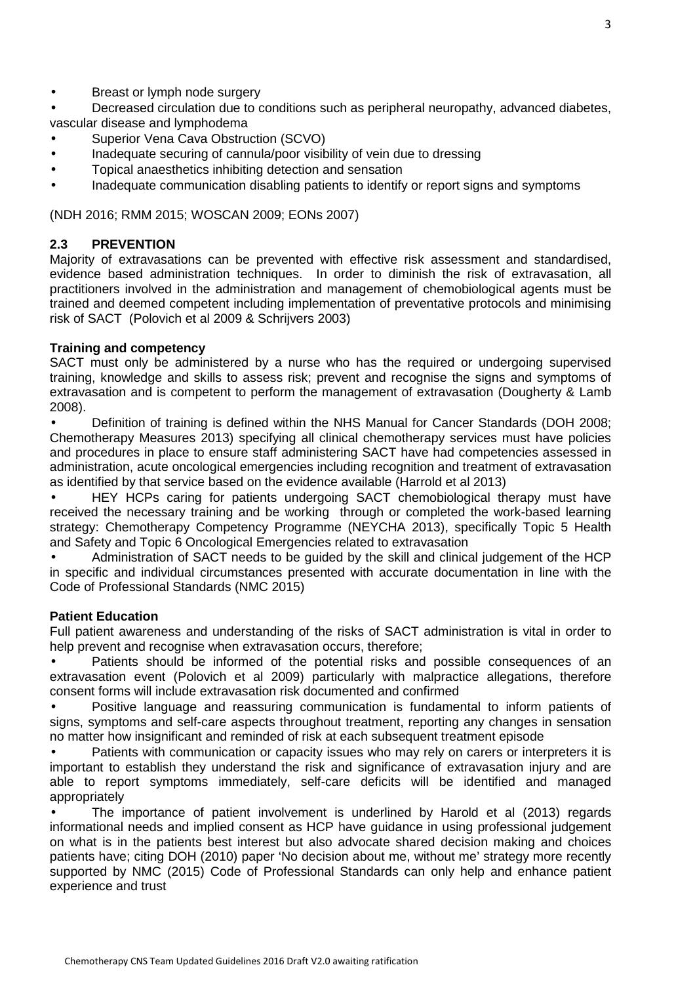- Breast or lymph node surgery
- Decreased circulation due to conditions such as peripheral neuropathy, advanced diabetes, vascular disease and lymphodema
- Superior Vena Cava Obstruction (SCVO)
- Inadequate securing of cannula/poor visibility of vein due to dressing
- Topical anaesthetics inhibiting detection and sensation
- Inadequate communication disabling patients to identify or report signs and symptoms

(NDH 2016; RMM 2015; WOSCAN 2009; EONs 2007)

### **2.3 PREVENTION**

Majority of extravasations can be prevented with effective risk assessment and standardised, evidence based administration techniques. In order to diminish the risk of extravasation, all practitioners involved in the administration and management of chemobiological agents must be trained and deemed competent including implementation of preventative protocols and minimising risk of SACT (Polovich et al 2009 & Schrijvers 2003)

#### **Training and competency**

SACT must only be administered by a nurse who has the required or undergoing supervised training, knowledge and skills to assess risk; prevent and recognise the signs and symptoms of extravasation and is competent to perform the management of extravasation (Dougherty & Lamb 2008).

• Definition of training is defined within the NHS Manual for Cancer Standards (DOH 2008; Chemotherapy Measures 2013) specifying all clinical chemotherapy services must have policies and procedures in place to ensure staff administering SACT have had competencies assessed in administration, acute oncological emergencies including recognition and treatment of extravasation as identified by that service based on the evidence available (Harrold et al 2013)

• HEY HCPs caring for patients undergoing SACT chemobiological therapy must have received the necessary training and be working through or completed the work-based learning strategy: Chemotherapy Competency Programme (NEYCHA 2013), specifically Topic 5 Health and Safety and Topic 6 Oncological Emergencies related to extravasation

• Administration of SACT needs to be guided by the skill and clinical judgement of the HCP in specific and individual circumstances presented with accurate documentation in line with the Code of Professional Standards (NMC 2015)

#### **Patient Education**

Full patient awareness and understanding of the risks of SACT administration is vital in order to help prevent and recognise when extravasation occurs, therefore;

Patients should be informed of the potential risks and possible consequences of an extravasation event (Polovich et al 2009) particularly with malpractice allegations, therefore consent forms will include extravasation risk documented and confirmed

• Positive language and reassuring communication is fundamental to inform patients of signs, symptoms and self-care aspects throughout treatment, reporting any changes in sensation no matter how insignificant and reminded of risk at each subsequent treatment episode

• Patients with communication or capacity issues who may rely on carers or interpreters it is important to establish they understand the risk and significance of extravasation injury and are able to report symptoms immediately, self-care deficits will be identified and managed appropriately

• The importance of patient involvement is underlined by Harold et al (2013) regards informational needs and implied consent as HCP have guidance in using professional judgement on what is in the patients best interest but also advocate shared decision making and choices patients have; citing DOH (2010) paper 'No decision about me, without me' strategy more recently supported by NMC (2015) Code of Professional Standards can only help and enhance patient experience and trust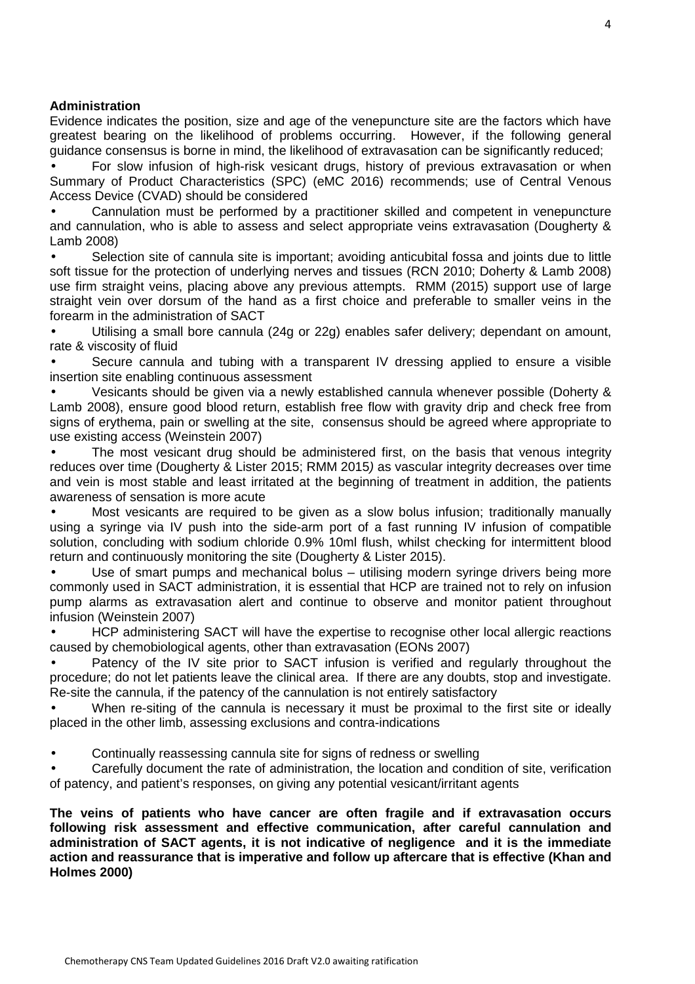#### **Administration**

Evidence indicates the position, size and age of the venepuncture site are the factors which have greatest bearing on the likelihood of problems occurring. However, if the following general guidance consensus is borne in mind, the likelihood of extravasation can be significantly reduced;

• For slow infusion of high-risk vesicant drugs, history of previous extravasation or when Summary of Product Characteristics (SPC) (eMC 2016) recommends; use of Central Venous Access Device (CVAD) should be considered

• Cannulation must be performed by a practitioner skilled and competent in venepuncture and cannulation, who is able to assess and select appropriate veins extravasation (Dougherty & Lamb 2008)

• Selection site of cannula site is important; avoiding anticubital fossa and joints due to little soft tissue for the protection of underlying nerves and tissues (RCN 2010; Doherty & Lamb 2008) use firm straight veins, placing above any previous attempts. RMM (2015) support use of large straight vein over dorsum of the hand as a first choice and preferable to smaller veins in the forearm in the administration of SACT

• Utilising a small bore cannula (24g or 22g) enables safer delivery; dependant on amount, rate & viscosity of fluid

Secure cannula and tubing with a transparent IV dressing applied to ensure a visible insertion site enabling continuous assessment

• Vesicants should be given via a newly established cannula whenever possible (Doherty & Lamb 2008), ensure good blood return, establish free flow with gravity drip and check free from signs of erythema, pain or swelling at the site, consensus should be agreed where appropriate to use existing access (Weinstein 2007)

The most vesicant drug should be administered first, on the basis that venous integrity reduces over time (Dougherty & Lister 2015; RMM 2015) as vascular integrity decreases over time and vein is most stable and least irritated at the beginning of treatment in addition, the patients awareness of sensation is more acute

• Most vesicants are required to be given as a slow bolus infusion; traditionally manually using a syringe via IV push into the side-arm port of a fast running IV infusion of compatible solution, concluding with sodium chloride 0.9% 10ml flush, whilst checking for intermittent blood return and continuously monitoring the site (Dougherty & Lister 2015).

Use of smart pumps and mechanical bolus - utilising modern syringe drivers being more commonly used in SACT administration, it is essential that HCP are trained not to rely on infusion pump alarms as extravasation alert and continue to observe and monitor patient throughout infusion (Weinstein 2007)

• HCP administering SACT will have the expertise to recognise other local allergic reactions caused by chemobiological agents, other than extravasation (EONs 2007)

Patency of the IV site prior to SACT infusion is verified and regularly throughout the procedure; do not let patients leave the clinical area. If there are any doubts, stop and investigate. Re-site the cannula, if the patency of the cannulation is not entirely satisfactory

• When re-siting of the cannula is necessary it must be proximal to the first site or ideally placed in the other limb, assessing exclusions and contra-indications

• Continually reassessing cannula site for signs of redness or swelling

• Carefully document the rate of administration, the location and condition of site, verification of patency, and patient's responses, on giving any potential vesicant/irritant agents

**The veins of patients who have cancer are often fragile and if extravasation occurs following risk assessment and effective communication, after careful cannulation and administration of SACT agents, it is not indicative of negligence and it is the immediate action and reassurance that is imperative and follow up aftercare that is effective (Khan and Holmes 2000)**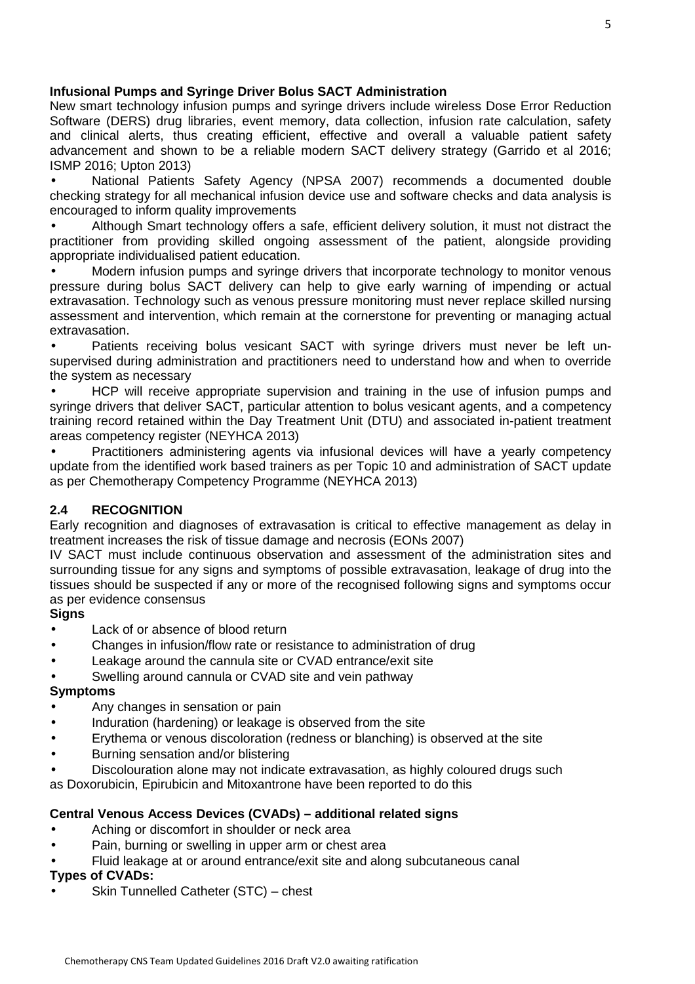### **Infusional Pumps and Syringe Driver Bolus SACT Administration**

New smart technology infusion pumps and syringe drivers include wireless Dose Error Reduction Software (DERS) drug libraries, event memory, data collection, infusion rate calculation, safety and clinical alerts, thus creating efficient, effective and overall a valuable patient safety advancement and shown to be a reliable modern SACT delivery strategy (Garrido et al 2016; ISMP 2016; Upton 2013)

• National Patients Safety Agency (NPSA 2007) recommends a documented double checking strategy for all mechanical infusion device use and software checks and data analysis is encouraged to inform quality improvements

• Although Smart technology offers a safe, efficient delivery solution, it must not distract the practitioner from providing skilled ongoing assessment of the patient, alongside providing appropriate individualised patient education.

• Modern infusion pumps and syringe drivers that incorporate technology to monitor venous pressure during bolus SACT delivery can help to give early warning of impending or actual extravasation. Technology such as venous pressure monitoring must never replace skilled nursing assessment and intervention, which remain at the cornerstone for preventing or managing actual extravasation.

Patients receiving bolus vesicant SACT with syringe drivers must never be left unsupervised during administration and practitioners need to understand how and when to override the system as necessary

• HCP will receive appropriate supervision and training in the use of infusion pumps and syringe drivers that deliver SACT, particular attention to bolus vesicant agents, and a competency training record retained within the Day Treatment Unit (DTU) and associated in-patient treatment areas competency register (NEYHCA 2013)

• Practitioners administering agents via infusional devices will have a yearly competency update from the identified work based trainers as per Topic 10 and administration of SACT update as per Chemotherapy Competency Programme (NEYHCA 2013)

# **2.4 RECOGNITION**

Early recognition and diagnoses of extravasation is critical to effective management as delay in treatment increases the risk of tissue damage and necrosis (EONs 2007)

IV SACT must include continuous observation and assessment of the administration sites and surrounding tissue for any signs and symptoms of possible extravasation, leakage of drug into the tissues should be suspected if any or more of the recognised following signs and symptoms occur as per evidence consensus

#### **Signs**

- Lack of or absence of blood return
- Changes in infusion/flow rate or resistance to administration of drug
- Leakage around the cannula site or CVAD entrance/exit site
- Swelling around cannula or CVAD site and vein pathway

#### **Symptoms**

- Any changes in sensation or pain
- Induration (hardening) or leakage is observed from the site
- Erythema or venous discoloration (redness or blanching) is observed at the site
- Burning sensation and/or blistering
- Discolouration alone may not indicate extravasation, as highly coloured drugs such

as Doxorubicin, Epirubicin and Mitoxantrone have been reported to do this

#### **Central Venous Access Devices (CVADs) – additional related signs**

- Aching or discomfort in shoulder or neck area
- Pain, burning or swelling in upper arm or chest area
- Fluid leakage at or around entrance/exit site and along subcutaneous canal

### **Types of CVADs:**

• Skin Tunnelled Catheter (STC) – chest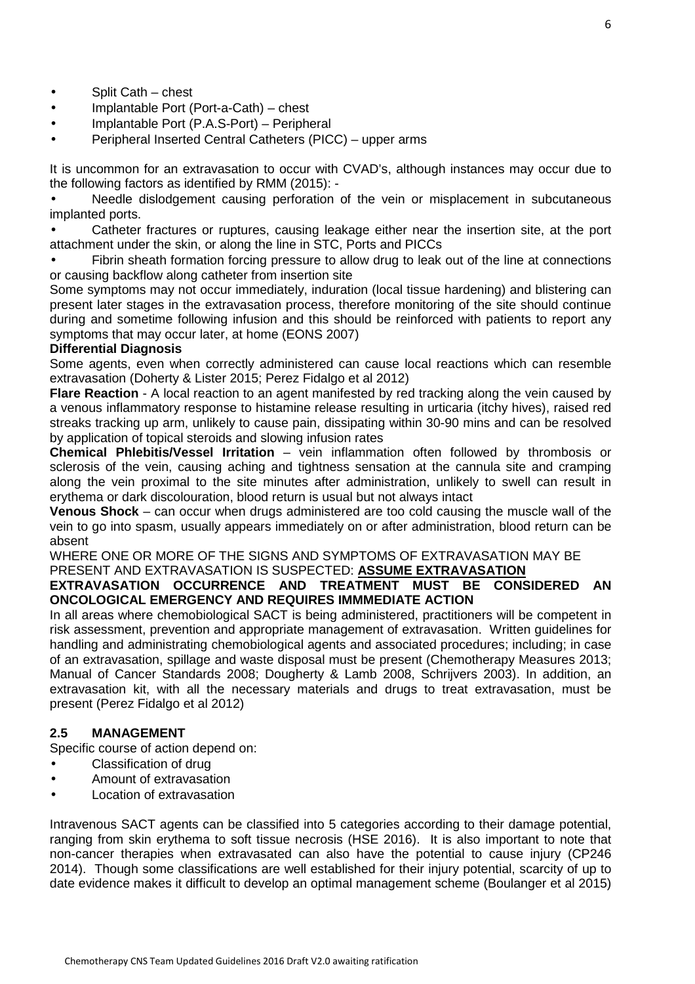- Split Cath chest
- Implantable Port (Port-a-Cath) chest
- Implantable Port (P.A.S-Port) Peripheral
- Peripheral Inserted Central Catheters (PICC) upper arms

It is uncommon for an extravasation to occur with CVAD's, although instances may occur due to the following factors as identified by RMM (2015): -

Needle dislodgement causing perforation of the vein or misplacement in subcutaneous implanted ports.

• Catheter fractures or ruptures, causing leakage either near the insertion site, at the port attachment under the skin, or along the line in STC, Ports and PICCs

Fibrin sheath formation forcing pressure to allow drug to leak out of the line at connections or causing backflow along catheter from insertion site

Some symptoms may not occur immediately, induration (local tissue hardening) and blistering can present later stages in the extravasation process, therefore monitoring of the site should continue during and sometime following infusion and this should be reinforced with patients to report any symptoms that may occur later, at home (EONS 2007)

#### **Differential Diagnosis**

Some agents, even when correctly administered can cause local reactions which can resemble extravasation (Doherty & Lister 2015; Perez Fidalgo et al 2012)

**Flare Reaction** - A local reaction to an agent manifested by red tracking along the vein caused by a venous inflammatory response to histamine release resulting in urticaria (itchy hives), raised red streaks tracking up arm, unlikely to cause pain, dissipating within 30-90 mins and can be resolved by application of topical steroids and slowing infusion rates

**Chemical Phlebitis/Vessel Irritation** – vein inflammation often followed by thrombosis or sclerosis of the vein, causing aching and tightness sensation at the cannula site and cramping along the vein proximal to the site minutes after administration, unlikely to swell can result in erythema or dark discolouration, blood return is usual but not always intact

**Venous Shock** – can occur when drugs administered are too cold causing the muscle wall of the vein to go into spasm, usually appears immediately on or after administration, blood return can be absent

WHERE ONE OR MORE OF THE SIGNS AND SYMPTOMS OF EXTRAVASATION MAY BE PRESENT AND EXTRAVASATION IS SUSPECTED: **ASSUME EXTRAVASATION**

# **EXTRAVASATION OCCURRENCE AND TREATMENT MUST BE CONSIDERED AN ONCOLOGICAL EMERGENCY AND REQUIRES IMMMEDIATE ACTION**

In all areas where chemobiological SACT is being administered, practitioners will be competent in risk assessment, prevention and appropriate management of extravasation. Written guidelines for handling and administrating chemobiological agents and associated procedures; including; in case of an extravasation, spillage and waste disposal must be present (Chemotherapy Measures 2013; Manual of Cancer Standards 2008; Dougherty & Lamb 2008, Schrijvers 2003). In addition, an extravasation kit, with all the necessary materials and drugs to treat extravasation, must be present (Perez Fidalgo et al 2012)

# **2.5 MANAGEMENT**

Specific course of action depend on:

- Classification of drug
- Amount of extravasation
- Location of extravasation

Intravenous SACT agents can be classified into 5 categories according to their damage potential, ranging from skin erythema to soft tissue necrosis (HSE 2016). It is also important to note that non-cancer therapies when extravasated can also have the potential to cause injury (CP246 2014). Though some classifications are well established for their injury potential, scarcity of up to date evidence makes it difficult to develop an optimal management scheme (Boulanger et al 2015)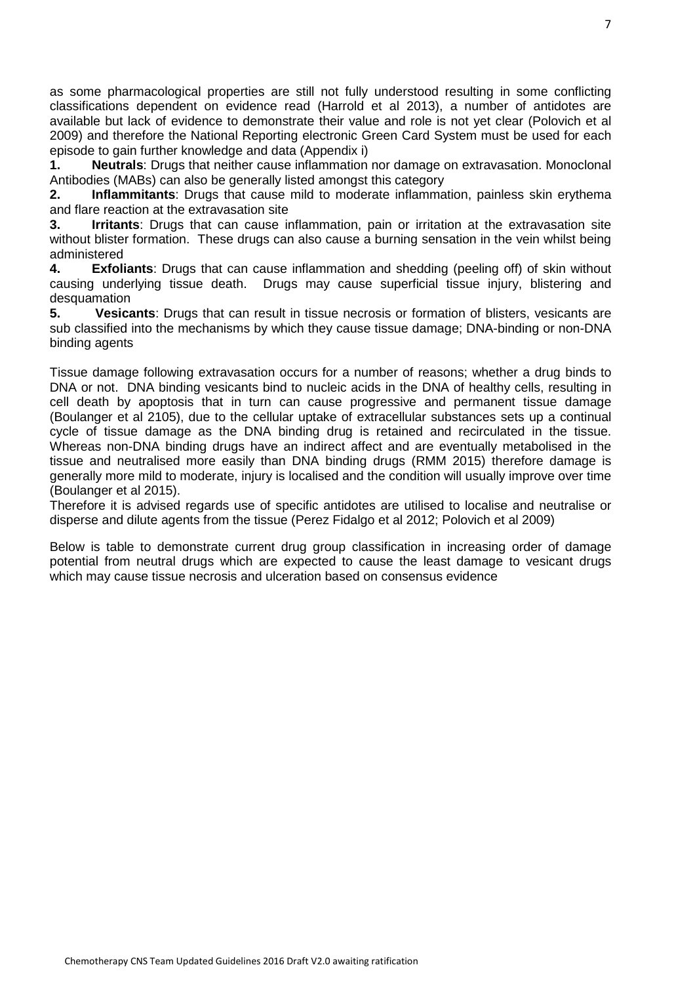as some pharmacological properties are still not fully understood resulting in some conflicting classifications dependent on evidence read (Harrold et al 2013), a number of antidotes are available but lack of evidence to demonstrate their value and role is not yet clear (Polovich et al 2009) and therefore the National Reporting electronic Green Card System must be used for each episode to gain further knowledge and data (Appendix i)

**1. Neutrals**: Drugs that neither cause inflammation nor damage on extravasation. Monoclonal Antibodies (MABs) can also be generally listed amongst this category

**2. Inflammitants**: Drugs that cause mild to moderate inflammation, painless skin erythema and flare reaction at the extravasation site

**3. Irritants**: Drugs that can cause inflammation, pain or irritation at the extravasation site without blister formation. These drugs can also cause a burning sensation in the vein whilst being administered

**4. Exfoliants**: Drugs that can cause inflammation and shedding (peeling off) of skin without causing underlying tissue death. Drugs may cause superficial tissue injury, blistering and desquamation

**5. Vesicants**: Drugs that can result in tissue necrosis or formation of blisters, vesicants are sub classified into the mechanisms by which they cause tissue damage; DNA-binding or non-DNA binding agents

Tissue damage following extravasation occurs for a number of reasons; whether a drug binds to DNA or not. DNA binding vesicants bind to nucleic acids in the DNA of healthy cells, resulting in cell death by apoptosis that in turn can cause progressive and permanent tissue damage (Boulanger et al 2105), due to the cellular uptake of extracellular substances sets up a continual cycle of tissue damage as the DNA binding drug is retained and recirculated in the tissue. Whereas non-DNA binding drugs have an indirect affect and are eventually metabolised in the tissue and neutralised more easily than DNA binding drugs (RMM 2015) therefore damage is generally more mild to moderate, injury is localised and the condition will usually improve over time (Boulanger et al 2015).

Therefore it is advised regards use of specific antidotes are utilised to localise and neutralise or disperse and dilute agents from the tissue (Perez Fidalgo et al 2012; Polovich et al 2009)

Below is table to demonstrate current drug group classification in increasing order of damage potential from neutral drugs which are expected to cause the least damage to vesicant drugs which may cause tissue necrosis and ulceration based on consensus evidence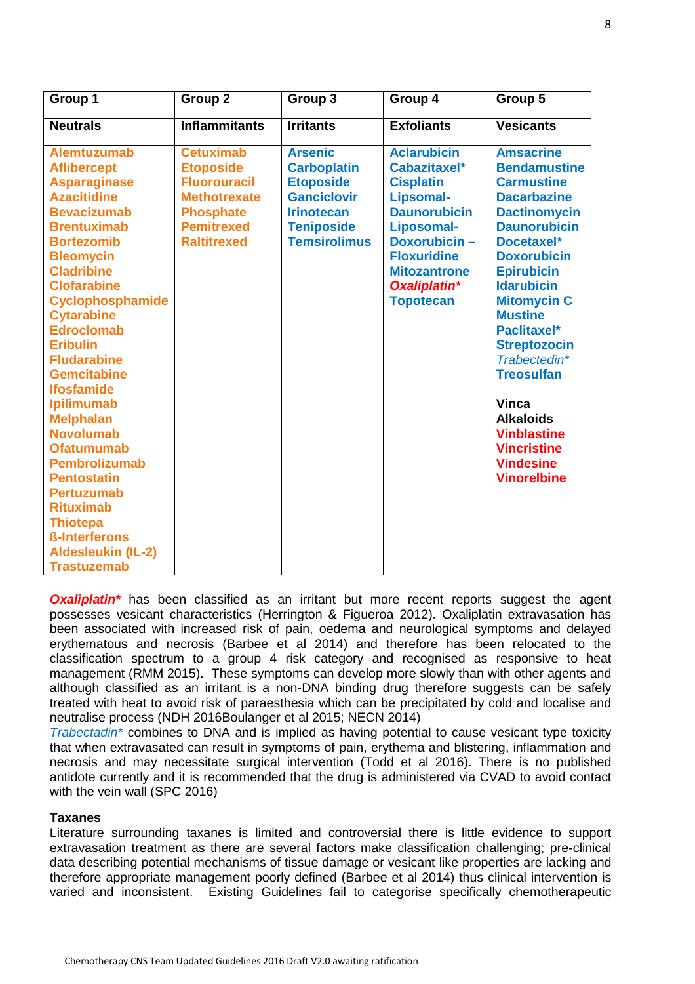| Group 1                                                                                                                                                                                                                                                                                                                                                                                                                                                                                                                                                                                                                                        | Group <sub>2</sub>                                                                                                                                | Group 3                                                                                                                                         | Group 4                                                                                                                                                                                                          | Group 5                                                                                                                                                                                                                                                                                                                                                                                                                                                            |
|------------------------------------------------------------------------------------------------------------------------------------------------------------------------------------------------------------------------------------------------------------------------------------------------------------------------------------------------------------------------------------------------------------------------------------------------------------------------------------------------------------------------------------------------------------------------------------------------------------------------------------------------|---------------------------------------------------------------------------------------------------------------------------------------------------|-------------------------------------------------------------------------------------------------------------------------------------------------|------------------------------------------------------------------------------------------------------------------------------------------------------------------------------------------------------------------|--------------------------------------------------------------------------------------------------------------------------------------------------------------------------------------------------------------------------------------------------------------------------------------------------------------------------------------------------------------------------------------------------------------------------------------------------------------------|
| <b>Neutrals</b>                                                                                                                                                                                                                                                                                                                                                                                                                                                                                                                                                                                                                                | <b>Inflammitants</b>                                                                                                                              | <b>Irritants</b>                                                                                                                                | <b>Exfoliants</b>                                                                                                                                                                                                | <b>Vesicants</b>                                                                                                                                                                                                                                                                                                                                                                                                                                                   |
| <b>Alemtuzumab</b><br><b>Aflibercept</b><br><b>Asparaginase</b><br><b>Azacitidine</b><br><b>Bevacizumab</b><br><b>Brentuximab</b><br><b>Bortezomib</b><br><b>Bleomycin</b><br><b>Cladribine</b><br><b>Clofarabine</b><br>Cyclophosphamide<br><b>Cytarabine</b><br><b>Edroclomab</b><br><b>Eribulin</b><br><b>Fludarabine</b><br><b>Gemcitabine</b><br><b>Ifosfamide</b><br><b>Ipilimumab</b><br><b>Melphalan</b><br><b>Novolumab</b><br><b>Ofatumumab</b><br><b>Pembrolizumab</b><br><b>Pentostatin</b><br><b>Pertuzumab</b><br><b>Rituximab</b><br><b>Thiotepa</b><br><b>ß-Interferons</b><br><b>Aldesleukin (IL-2)</b><br><b>Trastuzemab</b> | <b>Cetuximab</b><br><b>Etoposide</b><br><b>Fluorouracil</b><br><b>Methotrexate</b><br><b>Phosphate</b><br><b>Pemitrexed</b><br><b>Raltitrexed</b> | <b>Arsenic</b><br><b>Carboplatin</b><br><b>Etoposide</b><br><b>Ganciclovir</b><br><b>Irinotecan</b><br><b>Teniposide</b><br><b>Temsirolimus</b> | <b>Aclarubicin</b><br>Cabazitaxel*<br><b>Cisplatin</b><br>Lipsomal-<br><b>Daunorubicin</b><br>Liposomal-<br><b>Doxorubicin-</b><br><b>Floxuridine</b><br><b>Mitozantrone</b><br>Oxaliplatin*<br><b>Topotecan</b> | <b>Amsacrine</b><br><b>Bendamustine</b><br><b>Carmustine</b><br><b>Dacarbazine</b><br><b>Dactinomycin</b><br><b>Daunorubicin</b><br>Docetaxel*<br><b>Doxorubicin</b><br><b>Epirubicin</b><br><b>Idarubicin</b><br><b>Mitomycin C</b><br><b>Mustine</b><br><b>Paclitaxel*</b><br><b>Streptozocin</b><br>Trabectedin*<br><b>Treosulfan</b><br><b>Vinca</b><br><b>Alkaloids</b><br><b>Vinblastine</b><br><b>Vincristine</b><br><b>Vindesine</b><br><b>Vinorelbine</b> |

**Oxaliplatin**\* has been classified as an irritant but more recent reports suggest the agent possesses vesicant characteristics (Herrington & Figueroa 2012). Oxaliplatin extravasation has been associated with increased risk of pain, oedema and neurological symptoms and delayed erythematous and necrosis (Barbee et al 2014) and therefore has been relocated to the classification spectrum to a group 4 risk category and recognised as responsive to heat management (RMM 2015). These symptoms can develop more slowly than with other agents and although classified as an irritant is a non-DNA binding drug therefore suggests can be safely treated with heat to avoid risk of paraesthesia which can be precipitated by cold and localise and neutralise process (NDH 2016Boulanger et al 2015; NECN 2014)

Trabectadin<sup>\*</sup> combines to DNA and is implied as having potential to cause vesicant type toxicity that when extravasated can result in symptoms of pain, erythema and blistering, inflammation and necrosis and may necessitate surgical intervention (Todd et al 2016). There is no published antidote currently and it is recommended that the drug is administered via CVAD to avoid contact with the vein wall (SPC 2016)

#### **Taxanes**

Literature surrounding taxanes is limited and controversial there is little evidence to support extravasation treatment as there are several factors make classification challenging; pre-clinical data describing potential mechanisms of tissue damage or vesicant like properties are lacking and therefore appropriate management poorly defined (Barbee et al 2014) thus clinical intervention is varied and inconsistent. Existing Guidelines fail to categorise specifically chemotherapeutic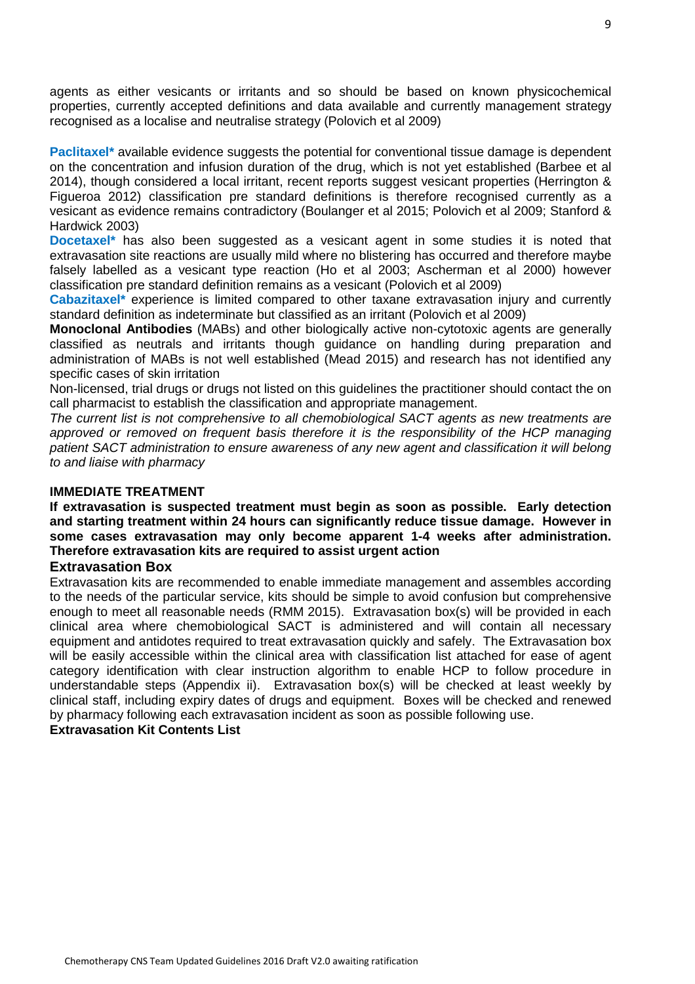agents as either vesicants or irritants and so should be based on known physicochemical properties, currently accepted definitions and data available and currently management strategy recognised as a localise and neutralise strategy (Polovich et al 2009)

**Paclitaxel\*** available evidence suggests the potential for conventional tissue damage is dependent on the concentration and infusion duration of the drug, which is not yet established (Barbee et al 2014), though considered a local irritant, recent reports suggest vesicant properties (Herrington & Figueroa 2012) classification pre standard definitions is therefore recognised currently as a vesicant as evidence remains contradictory (Boulanger et al 2015; Polovich et al 2009; Stanford & Hardwick 2003)

**Docetaxel**<sup>\*</sup> has also been suggested as a vesicant agent in some studies it is noted that extravasation site reactions are usually mild where no blistering has occurred and therefore maybe falsely labelled as a vesicant type reaction (Ho et al 2003; Ascherman et al 2000) however classification pre standard definition remains as a vesicant (Polovich et al 2009)

**Cabazitaxel\*** experience is limited compared to other taxane extravasation injury and currently standard definition as indeterminate but classified as an irritant (Polovich et al 2009)

**Monoclonal Antibodies** (MABs) and other biologically active non-cytotoxic agents are generally classified as neutrals and irritants though guidance on handling during preparation and administration of MABs is not well established (Mead 2015) and research has not identified any specific cases of skin irritation

Non-licensed, trial drugs or drugs not listed on this guidelines the practitioner should contact the on call pharmacist to establish the classification and appropriate management.

The current list is not comprehensive to all chemobiological SACT agents as new treatments are approved or removed on frequent basis therefore it is the responsibility of the HCP managing patient SACT administration to ensure awareness of any new agent and classification it will belong to and liaise with pharmacy

#### **IMMEDIATE TREATMENT**

**If extravasation is suspected treatment must begin as soon as possible. Early detection and starting treatment within 24 hours can significantly reduce tissue damage. However in some cases extravasation may only become apparent 1-4 weeks after administration. Therefore extravasation kits are required to assist urgent action** 

#### **Extravasation Box**

Extravasation kits are recommended to enable immediate management and assembles according to the needs of the particular service, kits should be simple to avoid confusion but comprehensive enough to meet all reasonable needs (RMM 2015). Extravasation box(s) will be provided in each clinical area where chemobiological SACT is administered and will contain all necessary equipment and antidotes required to treat extravasation quickly and safely. The Extravasation box will be easily accessible within the clinical area with classification list attached for ease of agent category identification with clear instruction algorithm to enable HCP to follow procedure in understandable steps (Appendix ii). Extravasation box(s) will be checked at least weekly by clinical staff, including expiry dates of drugs and equipment. Boxes will be checked and renewed by pharmacy following each extravasation incident as soon as possible following use. **Extravasation Kit Contents List**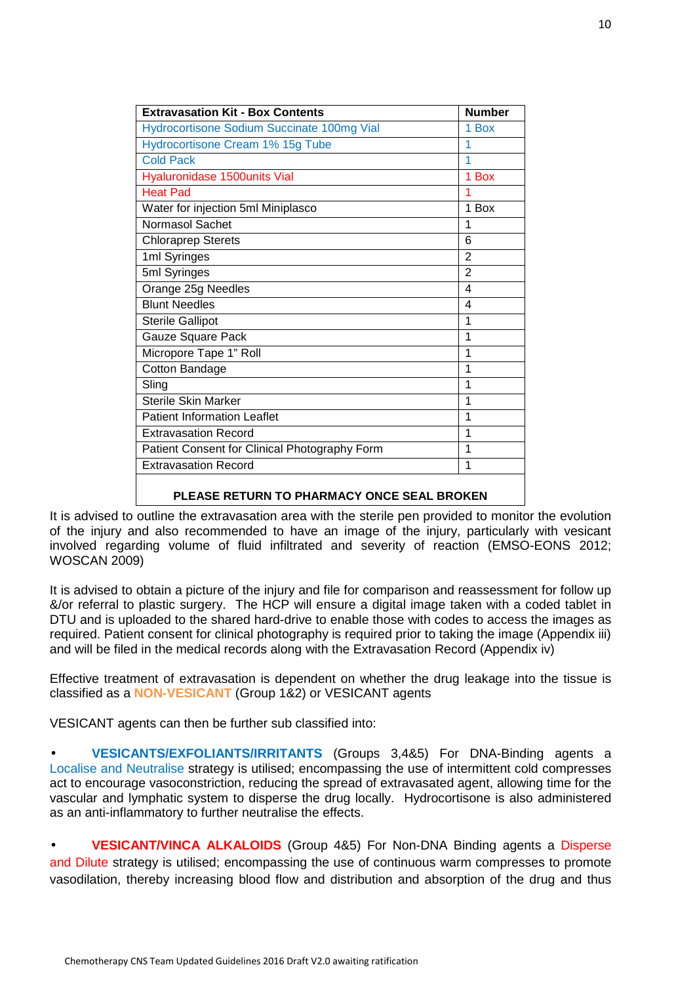| <b>Extravasation Kit - Box Contents</b>       | <b>Number</b>  |
|-----------------------------------------------|----------------|
| Hydrocortisone Sodium Succinate 100mg Vial    | 1 Box          |
| Hydrocortisone Cream 1% 15g Tube              | 1              |
| <b>Cold Pack</b>                              | 1              |
| Hyaluronidase 1500units Vial                  | 1 Box          |
| <b>Heat Pad</b>                               | 1              |
| Water for injection 5ml Miniplasco            | 1 Box          |
| <b>Normasol Sachet</b>                        | 1              |
| <b>Chloraprep Sterets</b>                     | 6              |
| 1ml Syringes                                  | 2              |
| 5ml Syringes                                  | $\overline{2}$ |
| Orange 25g Needles                            | 4              |
| <b>Blunt Needles</b>                          | 4              |
| <b>Sterile Gallipot</b>                       | 1              |
| <b>Gauze Square Pack</b>                      | 1              |
| Micropore Tape 1" Roll                        | 1              |
| Cotton Bandage                                | 1              |
| Sling                                         | 1              |
| <b>Sterile Skin Marker</b>                    | 1              |
| <b>Patient Information Leaflet</b>            | 1              |
| <b>Extravasation Record</b>                   | 1              |
| Patient Consent for Clinical Photography Form | 1              |
| <b>Extravasation Record</b>                   | 1              |
| DI EARE DETUDNITO DUADMARY ONRE REAL DROKEN.  |                |

#### **PLEASE RETURN TO PHARMACY ONCE SEAL BROKEN**

It is advised to outline the extravasation area with the sterile pen provided to monitor the evolution of the injury and also recommended to have an image of the injury, particularly with vesicant involved regarding volume of fluid infiltrated and severity of reaction (EMSO-EONS 2012; WOSCAN 2009)

It is advised to obtain a picture of the injury and file for comparison and reassessment for follow up &/or referral to plastic surgery. The HCP will ensure a digital image taken with a coded tablet in DTU and is uploaded to the shared hard-drive to enable those with codes to access the images as required. Patient consent for clinical photography is required prior to taking the image (Appendix iii) and will be filed in the medical records along with the Extravasation Record (Appendix iv)

Effective treatment of extravasation is dependent on whether the drug leakage into the tissue is classified as a **NON-VESICANT** (Group 1&2) or VESICANT agents

VESICANT agents can then be further sub classified into:

• **VESICANTS/EXFOLIANTS/IRRITANTS** (Groups 3,4&5) For DNA-Binding agents a Localise and Neutralise strategy is utilised; encompassing the use of intermittent cold compresses act to encourage vasoconstriction, reducing the spread of extravasated agent, allowing time for the vascular and lymphatic system to disperse the drug locally. Hydrocortisone is also administered as an anti-inflammatory to further neutralise the effects.

• **VESICANT/VINCA ALKALOIDS** (Group 4&5) For Non-DNA Binding agents a Disperse and Dilute strategy is utilised; encompassing the use of continuous warm compresses to promote vasodilation, thereby increasing blood flow and distribution and absorption of the drug and thus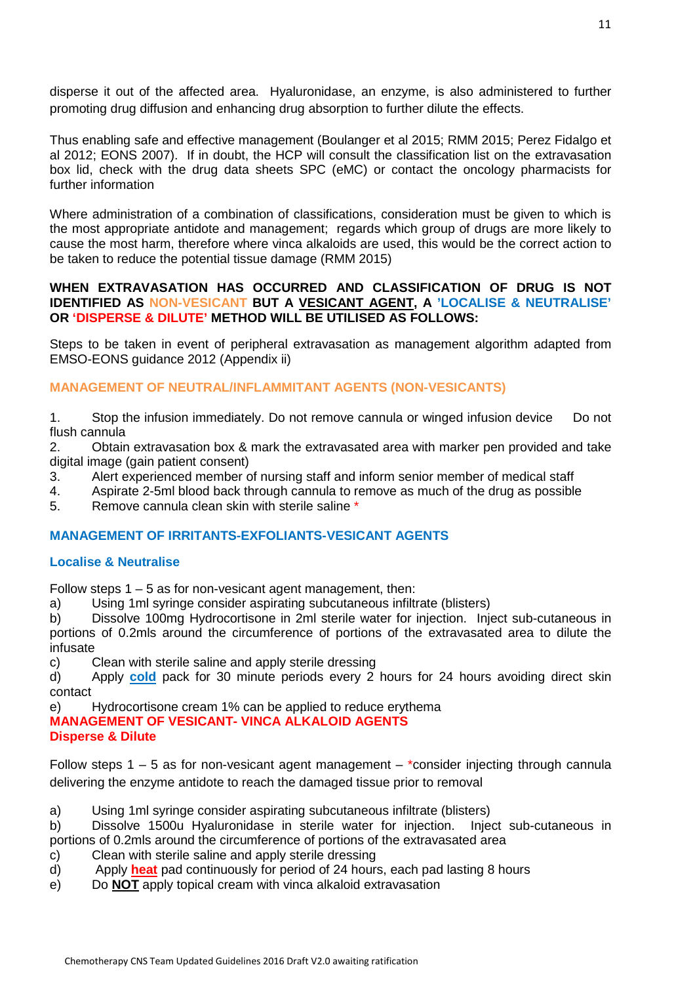disperse it out of the affected area. Hyaluronidase, an enzyme, is also administered to further promoting drug diffusion and enhancing drug absorption to further dilute the effects.

Thus enabling safe and effective management (Boulanger et al 2015; RMM 2015; Perez Fidalgo et al 2012; EONS 2007). If in doubt, the HCP will consult the classification list on the extravasation box lid, check with the drug data sheets SPC (eMC) or contact the oncology pharmacists for further information

Where administration of a combination of classifications, consideration must be given to which is the most appropriate antidote and management; regards which group of drugs are more likely to cause the most harm, therefore where vinca alkaloids are used, this would be the correct action to be taken to reduce the potential tissue damage (RMM 2015)

#### **WHEN EXTRAVASATION HAS OCCURRED AND CLASSIFICATION OF DRUG IS NOT IDENTIFIED AS NON-VESICANT BUT A VESICANT AGENT, A 'LOCALISE & NEUTRALISE' OR 'DISPERSE & DILUTE' METHOD WILL BE UTILISED AS FOLLOWS:**

Steps to be taken in event of peripheral extravasation as management algorithm adapted from EMSO-EONS guidance 2012 (Appendix ii)

### **MANAGEMENT OF NEUTRAL/INFLAMMITANT AGENTS (NON-VESICANTS)**

1. Stop the infusion immediately. Do not remove cannula or winged infusion device Do not flush cannula

2. Obtain extravasation box & mark the extravasated area with marker pen provided and take digital image (gain patient consent)

- 3. Alert experienced member of nursing staff and inform senior member of medical staff
- 4. Aspirate 2-5ml blood back through cannula to remove as much of the drug as possible

5. Remove cannula clean skin with sterile saline \*

#### **MANAGEMENT OF IRRITANTS-EXFOLIANTS-VESICANT AGENTS**

#### **Localise & Neutralise**

Follow steps  $1 - 5$  as for non-vesicant agent management, then:

a) Using 1ml syringe consider aspirating subcutaneous infiltrate (blisters)

b) Dissolve 100mg Hydrocortisone in 2ml sterile water for injection. Inject sub-cutaneous in portions of 0.2mls around the circumference of portions of the extravasated area to dilute the infusate

c) Clean with sterile saline and apply sterile dressing

d) Apply **cold** pack for 30 minute periods every 2 hours for 24 hours avoiding direct skin contact

e) Hydrocortisone cream 1% can be applied to reduce erythema

**MANAGEMENT OF VESICANT- VINCA ALKALOID AGENTS Disperse & Dilute** 

Follow steps 1 – 5 as for non-vesicant agent management – \*consider injecting through cannula delivering the enzyme antidote to reach the damaged tissue prior to removal

a) Using 1ml syringe consider aspirating subcutaneous infiltrate (blisters)

b) Dissolve 1500u Hyaluronidase in sterile water for injection. Inject sub-cutaneous in portions of 0.2mls around the circumference of portions of the extravasated area

- c) Clean with sterile saline and apply sterile dressing
- d) Apply **heat** pad continuously for period of 24 hours, each pad lasting 8 hours
- e) Do **NOT** apply topical cream with vinca alkaloid extravasation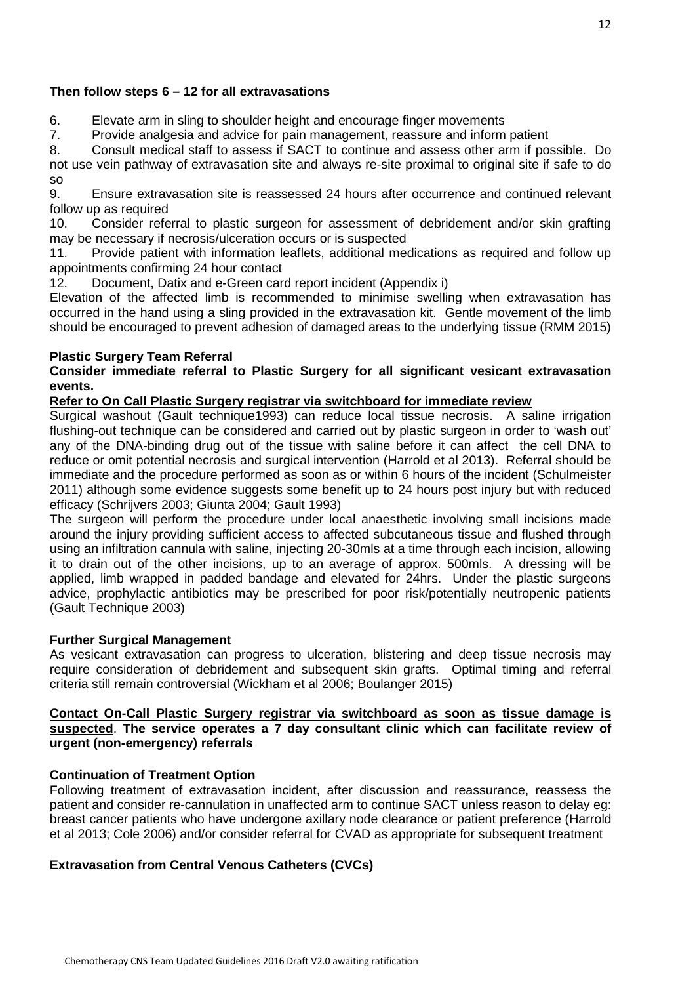#### **Then follow steps 6 – 12 for all extravasations**

6. Elevate arm in sling to shoulder height and encourage finger movements

7. Provide analgesia and advice for pain management, reassure and inform patient

8. Consult medical staff to assess if SACT to continue and assess other arm if possible. Do not use vein pathway of extravasation site and always re-site proximal to original site if safe to do so

9. Ensure extravasation site is reassessed 24 hours after occurrence and continued relevant follow up as required

10. Consider referral to plastic surgeon for assessment of debridement and/or skin grafting may be necessary if necrosis/ulceration occurs or is suspected

11. Provide patient with information leaflets, additional medications as required and follow up appointments confirming 24 hour contact

12. Document, Datix and e-Green card report incident (Appendix i)

Elevation of the affected limb is recommended to minimise swelling when extravasation has occurred in the hand using a sling provided in the extravasation kit. Gentle movement of the limb should be encouraged to prevent adhesion of damaged areas to the underlying tissue (RMM 2015)

#### **Plastic Surgery Team Referral**

#### **Consider immediate referral to Plastic Surgery for all significant vesicant extravasation events.**

#### **Refer to On Call Plastic Surgery registrar via switchboard for immediate review**

Surgical washout (Gault technique1993) can reduce local tissue necrosis. A saline irrigation flushing-out technique can be considered and carried out by plastic surgeon in order to 'wash out' any of the DNA-binding drug out of the tissue with saline before it can affect the cell DNA to reduce or omit potential necrosis and surgical intervention (Harrold et al 2013). Referral should be immediate and the procedure performed as soon as or within 6 hours of the incident (Schulmeister 2011) although some evidence suggests some benefit up to 24 hours post injury but with reduced efficacy (Schrijvers 2003; Giunta 2004; Gault 1993)

The surgeon will perform the procedure under local anaesthetic involving small incisions made around the injury providing sufficient access to affected subcutaneous tissue and flushed through using an infiltration cannula with saline, injecting 20-30mls at a time through each incision, allowing it to drain out of the other incisions, up to an average of approx. 500mls. A dressing will be applied, limb wrapped in padded bandage and elevated for 24hrs. Under the plastic surgeons advice, prophylactic antibiotics may be prescribed for poor risk/potentially neutropenic patients (Gault Technique 2003)

#### **Further Surgical Management**

As vesicant extravasation can progress to ulceration, blistering and deep tissue necrosis may require consideration of debridement and subsequent skin grafts. Optimal timing and referral criteria still remain controversial (Wickham et al 2006; Boulanger 2015)

#### **Contact On-Call Plastic Surgery registrar via switchboard as soon as tissue damage is suspected**. **The service operates a 7 day consultant clinic which can facilitate review of urgent (non-emergency) referrals**

#### **Continuation of Treatment Option**

Following treatment of extravasation incident, after discussion and reassurance, reassess the patient and consider re-cannulation in unaffected arm to continue SACT unless reason to delay eg: breast cancer patients who have undergone axillary node clearance or patient preference (Harrold et al 2013; Cole 2006) and/or consider referral for CVAD as appropriate for subsequent treatment

#### **Extravasation from Central Venous Catheters (CVCs)**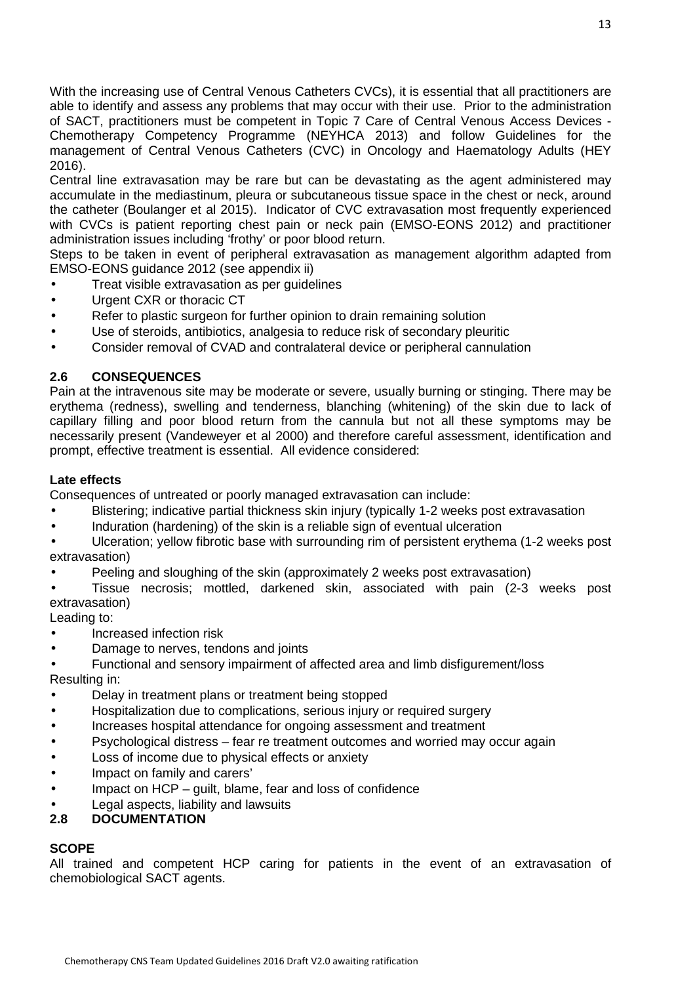With the increasing use of Central Venous Catheters CVCs), it is essential that all practitioners are able to identify and assess any problems that may occur with their use. Prior to the administration of SACT, practitioners must be competent in Topic 7 Care of Central Venous Access Devices - Chemotherapy Competency Programme (NEYHCA 2013) and follow Guidelines for the management of Central Venous Catheters (CVC) in Oncology and Haematology Adults (HEY 2016).

Central line extravasation may be rare but can be devastating as the agent administered may accumulate in the mediastinum, pleura or subcutaneous tissue space in the chest or neck, around the catheter (Boulanger et al 2015). Indicator of CVC extravasation most frequently experienced with CVCs is patient reporting chest pain or neck pain (EMSO-EONS 2012) and practitioner administration issues including 'frothy' or poor blood return.

Steps to be taken in event of peripheral extravasation as management algorithm adapted from EMSO-EONS guidance 2012 (see appendix ii)

- Treat visible extravasation as per guidelines
- Urgent CXR or thoracic CT
- Refer to plastic surgeon for further opinion to drain remaining solution
- Use of steroids, antibiotics, analgesia to reduce risk of secondary pleuritic
- Consider removal of CVAD and contralateral device or peripheral cannulation

#### **2.6 CONSEQUENCES**

Pain at the intravenous site may be moderate or severe, usually burning or stinging. There may be erythema (redness), swelling and tenderness, blanching (whitening) of the skin due to lack of capillary filling and poor blood return from the cannula but not all these symptoms may be necessarily present (Vandeweyer et al 2000) and therefore careful assessment, identification and prompt, effective treatment is essential. All evidence considered:

#### **Late effects**

Consequences of untreated or poorly managed extravasation can include:

- Blistering; indicative partial thickness skin injury (typically 1-2 weeks post extravasation
- Induration (hardening) of the skin is a reliable sign of eventual ulceration
- Ulceration; yellow fibrotic base with surrounding rim of persistent erythema (1-2 weeks post extravasation)
- Peeling and sloughing of the skin (approximately 2 weeks post extravasation)

• Tissue necrosis; mottled, darkened skin, associated with pain (2-3 weeks post extravasation)

Leading to:

- Increased infection risk
- Damage to nerves, tendons and joints
- Functional and sensory impairment of affected area and limb disfigurement/loss Resulting in:
- Delay in treatment plans or treatment being stopped
- Hospitalization due to complications, serious injury or required surgery
- Increases hospital attendance for ongoing assessment and treatment
- Psychological distress fear re treatment outcomes and worried may occur again
- Loss of income due to physical effects or anxiety
- Impact on family and carers'
- Impact on HCP quilt, blame, fear and loss of confidence
- Legal aspects, liability and lawsuits

#### **2.8 DOCUMENTATION**

# **SCOPE**

All trained and competent HCP caring for patients in the event of an extravasation of chemobiological SACT agents.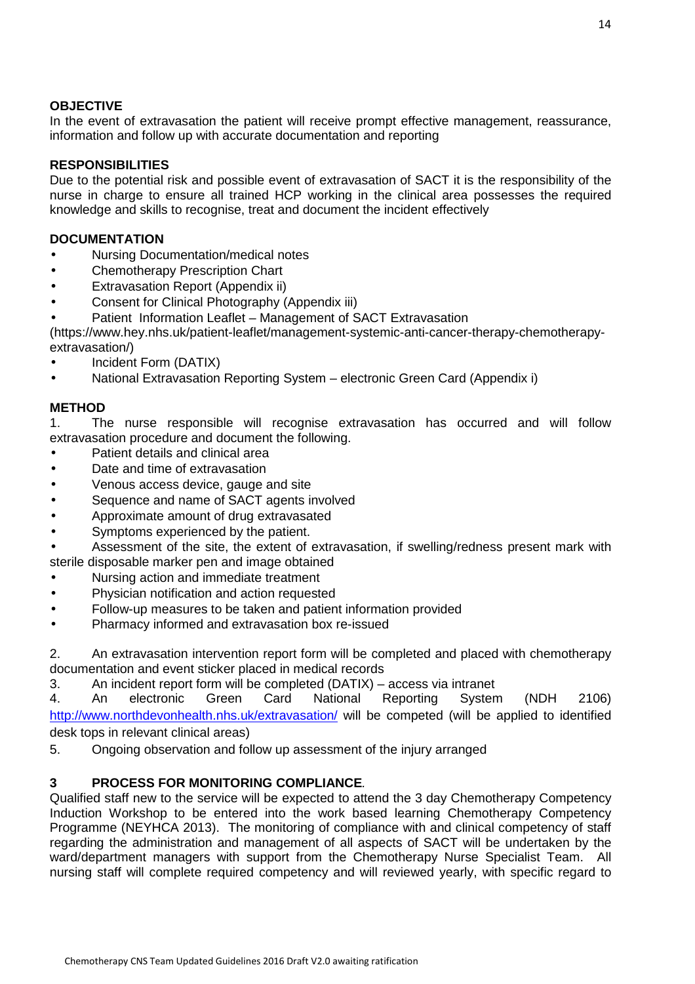# **OBJECTIVE**

In the event of extravasation the patient will receive prompt effective management, reassurance, information and follow up with accurate documentation and reporting

# **RESPONSIBILITIES**

Due to the potential risk and possible event of extravasation of SACT it is the responsibility of the nurse in charge to ensure all trained HCP working in the clinical area possesses the required knowledge and skills to recognise, treat and document the incident effectively

### **DOCUMENTATION**

- Nursing Documentation/medical notes
- Chemotherapy Prescription Chart
- Extravasation Report (Appendix ii)
- Consent for Clinical Photography (Appendix iii)
- Patient Information Leaflet Management of SACT Extravasation

(https://www.hey.nhs.uk/patient-leaflet/management-systemic-anti-cancer-therapy-chemotherapyextravasation/)

- Incident Form (DATIX)
- National Extravasation Reporting System electronic Green Card (Appendix i)

### **METHOD**

1. The nurse responsible will recognise extravasation has occurred and will follow extravasation procedure and document the following.

- Patient details and clinical area
- Date and time of extravasation
- Venous access device, gauge and site
- Sequence and name of SACT agents involved
- Approximate amount of drug extravasated
- Symptoms experienced by the patient.
- Assessment of the site, the extent of extravasation, if swelling/redness present mark with sterile disposable marker pen and image obtained
- Nursing action and immediate treatment
- Physician notification and action requested
- Follow-up measures to be taken and patient information provided
- Pharmacy informed and extravasation box re-issued

2. An extravasation intervention report form will be completed and placed with chemotherapy documentation and event sticker placed in medical records

3. An incident report form will be completed (DATIX) – access via intranet

4. An electronic Green Card National Reporting System (NDH 2106) http://www.northdevonhealth.nhs.uk/extravasation/ will be competed (will be applied to identified desk tops in relevant clinical areas)

5. Ongoing observation and follow up assessment of the injury arranged

# **3 PROCESS FOR MONITORING COMPLIANCE**.

Qualified staff new to the service will be expected to attend the 3 day Chemotherapy Competency Induction Workshop to be entered into the work based learning Chemotherapy Competency Programme (NEYHCA 2013).The monitoring of compliance with and clinical competency of staff regarding the administration and management of all aspects of SACT will be undertaken by the ward/department managers with support from the Chemotherapy Nurse Specialist Team. All nursing staff will complete required competency and will reviewed yearly, with specific regard to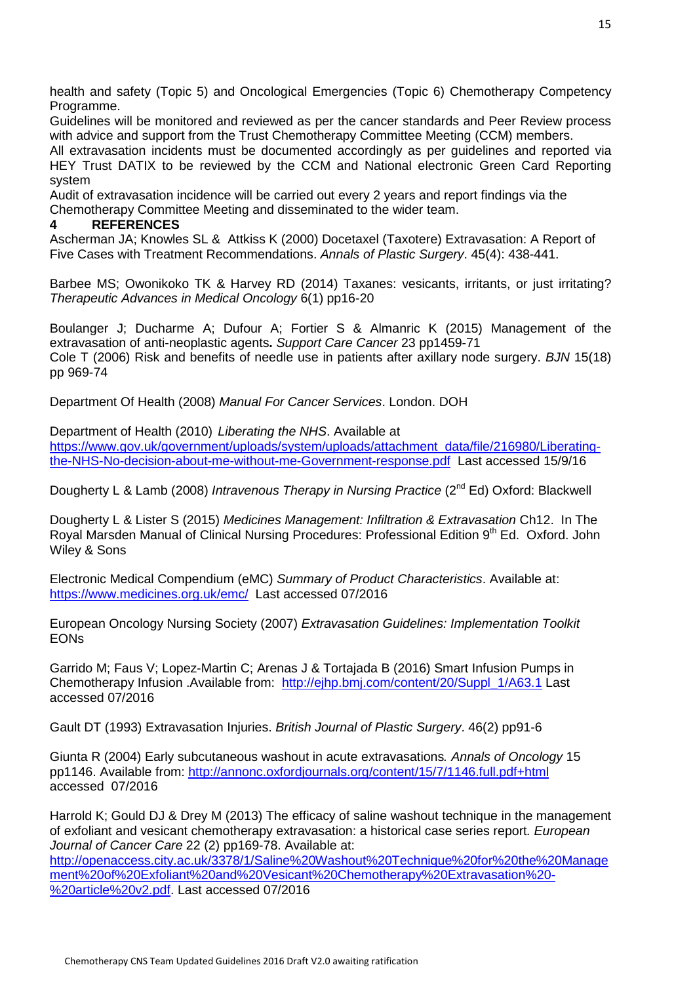health and safety (Topic 5) and Oncological Emergencies (Topic 6) Chemotherapy Competency Programme.

Guidelines will be monitored and reviewed as per the cancer standards and Peer Review process with advice and support from the Trust Chemotherapy Committee Meeting (CCM) members.

All extravasation incidents must be documented accordingly as per guidelines and reported via HEY Trust DATIX to be reviewed by the CCM and National electronic Green Card Reporting system

Audit of extravasation incidence will be carried out every 2 years and report findings via the Chemotherapy Committee Meeting and disseminated to the wider team.

#### **4 REFERENCES**

Ascherman JA; Knowles SL & Attkiss K (2000) Docetaxel (Taxotere) Extravasation: A Report of Five Cases with Treatment Recommendations. Annals of Plastic Surgery. 45(4): 438-441.

Barbee MS; Owonikoko TK & Harvey RD (2014) Taxanes: vesicants, irritants, or just irritating? Therapeutic Advances in Medical Oncology 6(1) pp16-20

Boulanger J; Ducharme A; Dufour A; Fortier S & Almanric K (2015) Management of the extravasation of anti-neoplastic agents**.** Support Care Cancer 23 pp1459-71 Cole T (2006) Risk and benefits of needle use in patients after axillary node surgery. BJN 15(18) pp 969-74

Department Of Health (2008) Manual For Cancer Services. London. DOH

Department of Health (2010) Liberating the NHS. Available at https://www.gov.uk/government/uploads/system/uploads/attachment\_data/file/216980/Liberatingthe-NHS-No-decision-about-me-without-me-Government-response.pdf Last accessed 15/9/16

Dougherty L & Lamb (2008) Intravenous Therapy in Nursing Practice (2<sup>nd</sup> Ed) Oxford: Blackwell

Dougherty L & Lister S (2015) Medicines Management: Infiltration & Extravasation Ch12. In The Royal Marsden Manual of Clinical Nursing Procedures: Professional Edition 9<sup>th</sup> Ed. Oxford. John Wiley & Sons

Electronic Medical Compendium (eMC) Summary of Product Characteristics. Available at: https://www.medicines.org.uk/emc/ Last accessed 07/2016

European Oncology Nursing Society (2007) Extravasation Guidelines: Implementation Toolkit EONs

Garrido M; Faus V; Lopez-Martin C; Arenas J & Tortajada B (2016) Smart Infusion Pumps in Chemotherapy Infusion .Available from: http://ejhp.bmj.com/content/20/Suppl\_1/A63.1 Last accessed 07/2016

Gault DT (1993) Extravasation Injuries. British Journal of Plastic Surgery. 46(2) pp91-6

Giunta R (2004) Early subcutaneous washout in acute extravasations. Annals of Oncology 15 pp1146. Available from: http://annonc.oxfordjournals.org/content/15/7/1146.full.pdf+html accessed 07/2016

Harrold K; Gould DJ & Drey M (2013) The efficacy of saline washout technique in the management of exfoliant and vesicant chemotherapy extravasation: a historical case series report. European Journal of Cancer Care 22 (2) pp169-78. Available at: http://openaccess.city.ac.uk/3378/1/Saline%20Washout%20Technique%20for%20the%20Manage ment%20of%20Exfoliant%20and%20Vesicant%20Chemotherapy%20Extravasation%20- %20article%20v2.pdf. Last accessed 07/2016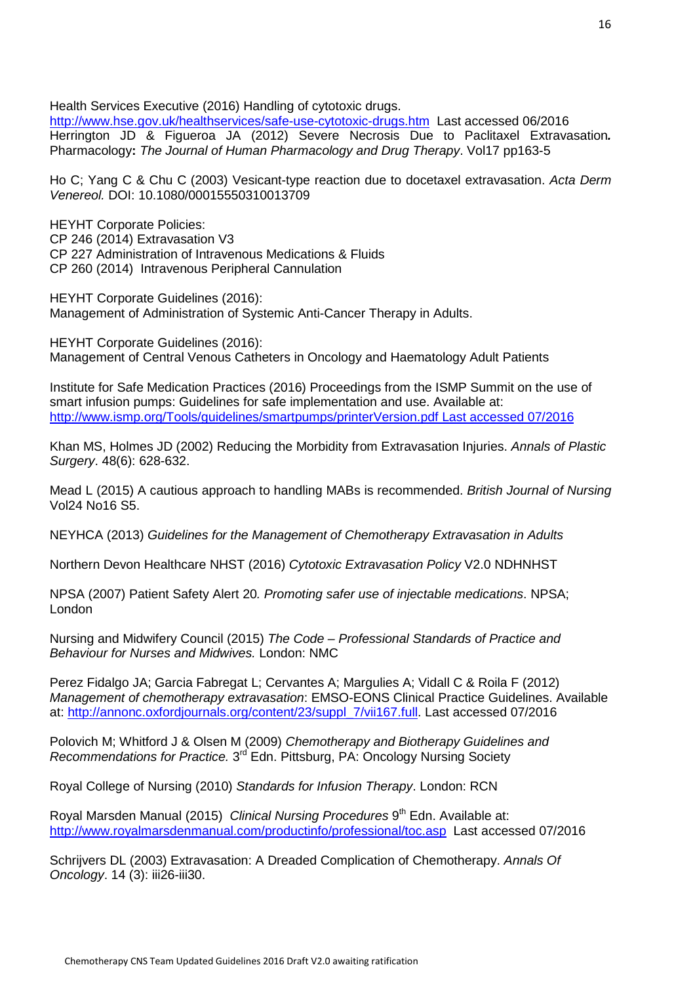Health Services Executive (2016) Handling of cytotoxic drugs.

http://www.hse.gov.uk/healthservices/safe-use-cytotoxic-drugs.htm Last accessed 06/2016 Herrington JD & Figueroa JA (2012) Severe Necrosis Due to Paclitaxel Extravasation**.** Pharmacology**:** The Journal of Human Pharmacology and Drug Therapy. Vol17 pp163-5

Ho C; Yang C & Chu C (2003) Vesicant-type reaction due to docetaxel extravasation. Acta Derm Venereol. DOI: 10.1080/00015550310013709

HEYHT Corporate Policies:

CP 246 (2014) Extravasation V3

CP 227 Administration of Intravenous Medications & Fluids

CP 260 (2014) Intravenous Peripheral Cannulation

HEYHT Corporate Guidelines (2016): Management of Administration of Systemic Anti-Cancer Therapy in Adults.

HEYHT Corporate Guidelines (2016): Management of Central Venous Catheters in Oncology and Haematology Adult Patients

Institute for Safe Medication Practices (2016) Proceedings from the ISMP Summit on the use of smart infusion pumps: Guidelines for safe implementation and use. Available at: http://www.ismp.org/Tools/guidelines/smartpumps/printerVersion.pdf Last accessed 07/2016

Khan MS, Holmes JD (2002) Reducing the Morbidity from Extravasation Injuries. Annals of Plastic Surgery. 48(6): 628-632.

Mead L (2015) A cautious approach to handling MABs is recommended. British Journal of Nursing Vol24 No16 S5.

NEYHCA (2013) Guidelines for the Management of Chemotherapy Extravasation in Adults

Northern Devon Healthcare NHST (2016) Cytotoxic Extravasation Policy V2.0 NDHNHST

NPSA (2007) Patient Safety Alert 20. Promoting safer use of injectable medications. NPSA; London

Nursing and Midwifery Council (2015) The Code – Professional Standards of Practice and Behaviour for Nurses and Midwives. London: NMC

Perez Fidalgo JA; Garcia Fabregat L; Cervantes A; Margulies A; Vidall C & Roila F (2012) Management of chemotherapy extravasation: EMSO-EONS Clinical Practice Guidelines. Available at: http://annonc.oxfordjournals.org/content/23/suppl\_7/vii167.full. Last accessed 07/2016

Polovich M; Whitford J & Olsen M (2009) Chemotherapy and Biotherapy Guidelines and Recommendations for Practice.  $3^{rd}$  Edn. Pittsburg, PA: Oncology Nursing Society

Royal College of Nursing (2010) Standards for Infusion Therapy. London: RCN

Royal Marsden Manual (2015) Clinical Nursing Procedures 9<sup>th</sup> Edn. Available at: http://www.royalmarsdenmanual.com/productinfo/professional/toc.asp Last accessed 07/2016

Schrijvers DL (2003) Extravasation: A Dreaded Complication of Chemotherapy. Annals Of Oncology. 14 (3): iii26-iii30.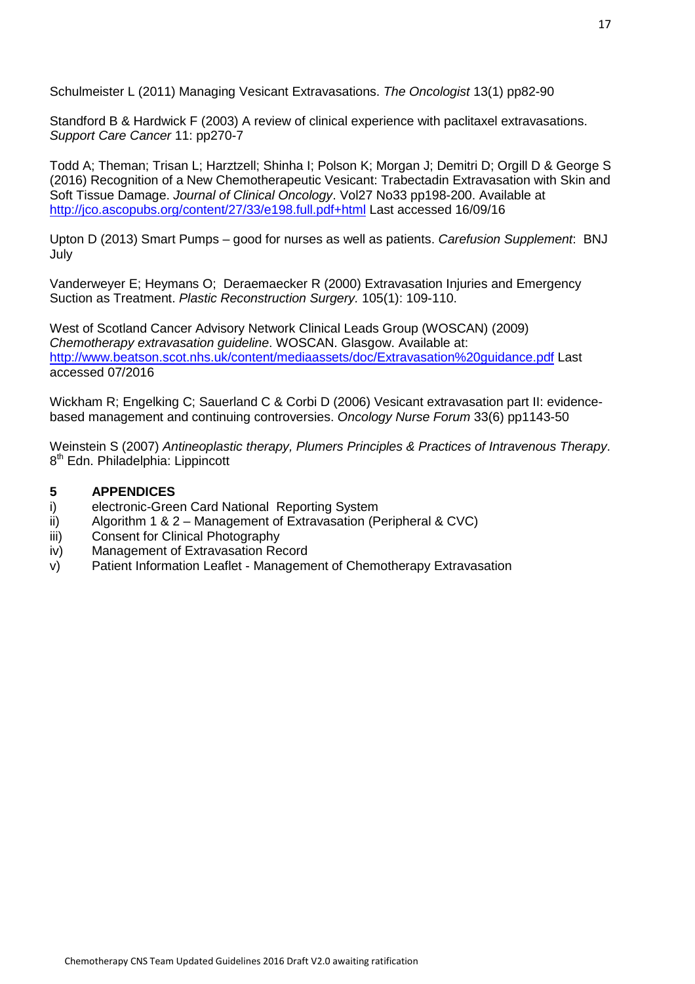Schulmeister L (2011) Managing Vesicant Extravasations. The Oncologist 13(1) pp82-90

Standford B & Hardwick F (2003) A review of clinical experience with paclitaxel extravasations. Support Care Cancer 11: pp270-7

Todd A; Theman; Trisan L; Harztzell; Shinha I; Polson K; Morgan J; Demitri D; Orgill D & George S (2016) Recognition of a New Chemotherapeutic Vesicant: Trabectadin Extravasation with Skin and Soft Tissue Damage. Journal of Clinical Oncology. Vol27 No33 pp198-200. Available at http://jco.ascopubs.org/content/27/33/e198.full.pdf+html Last accessed 16/09/16

Upton D (2013) Smart Pumps – good for nurses as well as patients. Carefusion Supplement: BNJ July

Vanderweyer E; Heymans O; Deraemaecker R (2000) Extravasation Injuries and Emergency Suction as Treatment. Plastic Reconstruction Surgery. 105(1): 109-110.

West of Scotland Cancer Advisory Network Clinical Leads Group (WOSCAN) (2009) Chemotherapy extravasation guideline. WOSCAN. Glasgow. Available at: http://www.beatson.scot.nhs.uk/content/mediaassets/doc/Extravasation%20guidance.pdf Last accessed 07/2016

Wickham R; Engelking C; Sauerland C & Corbi D (2006) Vesicant extravasation part II: evidencebased management and continuing controversies. Oncology Nurse Forum 33(6) pp1143-50

Weinstein S (2007) Antineoplastic therapy, Plumers Principles & Practices of Intravenous Therapy. 8<sup>th</sup> Edn. Philadelphia: Lippincott

#### **5 APPENDICES**

- i) electronic-Green Card National Reporting System
- ii) Algorithm 1 & 2 Management of Extravasation (Peripheral & CVC)
- iii) Consent for Clinical Photography
- iv) Management of Extravasation Record
- v) Patient Information Leaflet Management of Chemotherapy Extravasation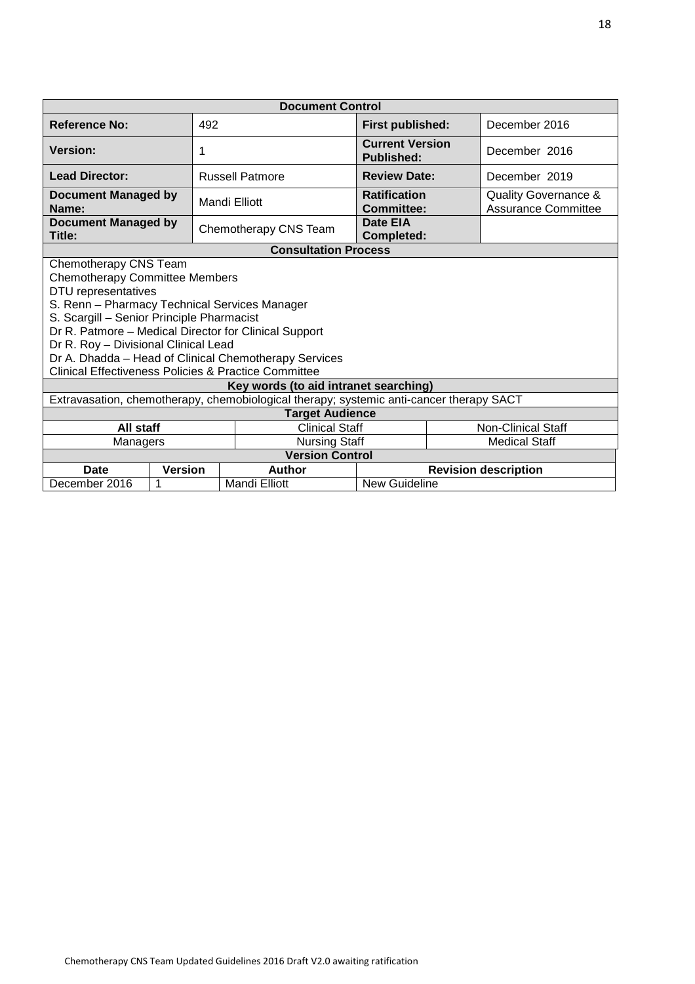| <b>Document Control</b>                                                                                                                                                                                                                                                                                                                                                                                          |                |                             |                                             |                      |                                                    |  |
|------------------------------------------------------------------------------------------------------------------------------------------------------------------------------------------------------------------------------------------------------------------------------------------------------------------------------------------------------------------------------------------------------------------|----------------|-----------------------------|---------------------------------------------|----------------------|----------------------------------------------------|--|
| <b>Reference No:</b>                                                                                                                                                                                                                                                                                                                                                                                             | 492            |                             | First published:                            |                      | December 2016                                      |  |
| <b>Version:</b>                                                                                                                                                                                                                                                                                                                                                                                                  | 1              |                             | <b>Current Version</b><br><b>Published:</b> |                      | December 2016                                      |  |
| <b>Lead Director:</b>                                                                                                                                                                                                                                                                                                                                                                                            |                | <b>Russell Patmore</b>      | <b>Review Date:</b>                         |                      | December 2019                                      |  |
| <b>Document Managed by</b><br>Name:                                                                                                                                                                                                                                                                                                                                                                              |                | Mandi Elliott               | <b>Ratification</b><br>Committee:           |                      | Quality Governance &<br><b>Assurance Committee</b> |  |
| <b>Document Managed by</b><br>Title:                                                                                                                                                                                                                                                                                                                                                                             |                | Chemotherapy CNS Team       | Date EIA<br><b>Completed:</b>               |                      |                                                    |  |
|                                                                                                                                                                                                                                                                                                                                                                                                                  |                | <b>Consultation Process</b> |                                             |                      |                                                    |  |
| Chemotherapy CNS Team<br><b>Chemotherapy Committee Members</b><br>DTU representatives<br>S. Renn - Pharmacy Technical Services Manager<br>S. Scargill - Senior Principle Pharmacist<br>Dr R. Patmore - Medical Director for Clinical Support<br>Dr R. Roy - Divisional Clinical Lead<br>Dr A. Dhadda - Head of Clinical Chemotherapy Services<br><b>Clinical Effectiveness Policies &amp; Practice Committee</b> |                |                             |                                             |                      |                                                    |  |
| Key words (to aid intranet searching)                                                                                                                                                                                                                                                                                                                                                                            |                |                             |                                             |                      |                                                    |  |
| Extravasation, chemotherapy, chemobiological therapy; systemic anti-cancer therapy SACT<br><b>Target Audience</b>                                                                                                                                                                                                                                                                                                |                |                             |                                             |                      |                                                    |  |
| All staff<br><b>Clinical Staff</b>                                                                                                                                                                                                                                                                                                                                                                               |                |                             |                                             |                      | <b>Non-Clinical Staff</b>                          |  |
| Managers                                                                                                                                                                                                                                                                                                                                                                                                         |                | <b>Nursing Staff</b>        |                                             | <b>Medical Staff</b> |                                                    |  |
| <b>Version Control</b>                                                                                                                                                                                                                                                                                                                                                                                           |                |                             |                                             |                      |                                                    |  |
| <b>Date</b>                                                                                                                                                                                                                                                                                                                                                                                                      | <b>Version</b> | <b>Author</b>               |                                             |                      | <b>Revision description</b>                        |  |
| December 2016                                                                                                                                                                                                                                                                                                                                                                                                    | 1              | <b>Mandi Elliott</b>        | New Guideline                               |                      |                                                    |  |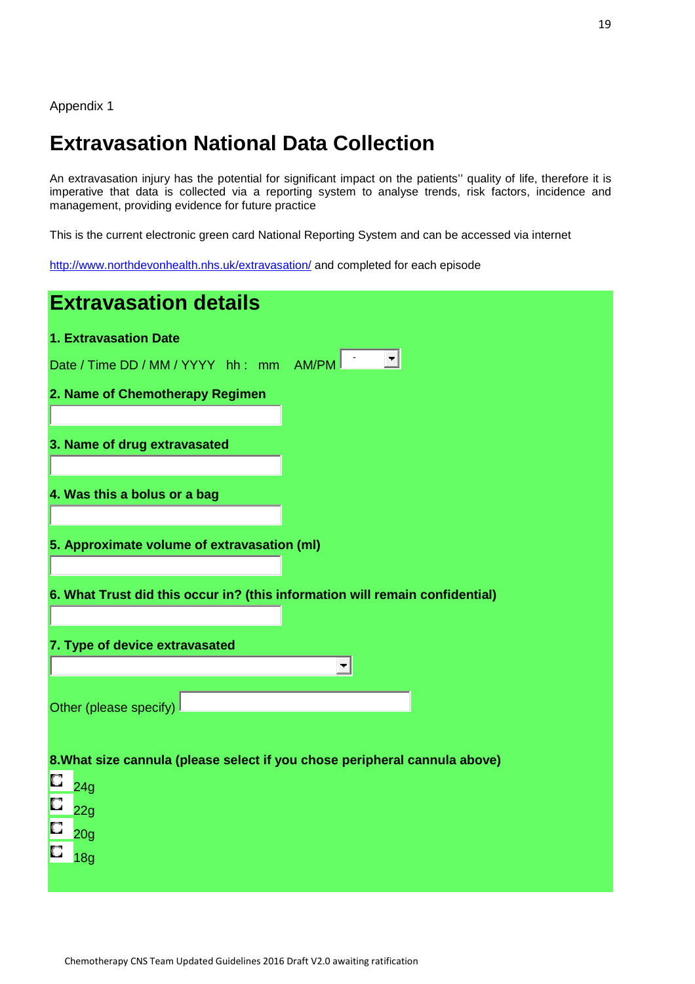Appendix 1

# **Extravasation National Data Collection**

An extravasation injury has the potential for significant impact on the patients'' quality of life, therefore it is imperative that data is collected via a reporting system to analyse trends, risk factors, incidence and management, providing evidence for future practice

This is the current electronic green card National Reporting System and can be accessed via internet

http://www.northdevonhealth.nhs.uk/extravasation/ and completed for each episode

| <b>Extravasation details</b>                                                 |
|------------------------------------------------------------------------------|
| 1. Extravasation Date                                                        |
| $\vert \mathbf{\tau} \vert$<br>Date / Time DD / MM / YYYY hh : mm AM/PM      |
| 2. Name of Chemotherapy Regimen                                              |
|                                                                              |
| 3. Name of drug extravasated                                                 |
|                                                                              |
| 4. Was this a bolus or a bag                                                 |
| 5. Approximate volume of extravasation (ml)                                  |
|                                                                              |
| 6. What Trust did this occur in? (this information will remain confidential) |
|                                                                              |
| 7. Type of device extravasated                                               |
| $\overline{\phantom{a}}$                                                     |
| Other (please specify)                                                       |
|                                                                              |
| 8. What size cannula (please select if you chose peripheral cannula above)   |
| O<br>24g                                                                     |
| O<br>22g                                                                     |
| $\Box$<br>20g                                                                |
| 18g                                                                          |
|                                                                              |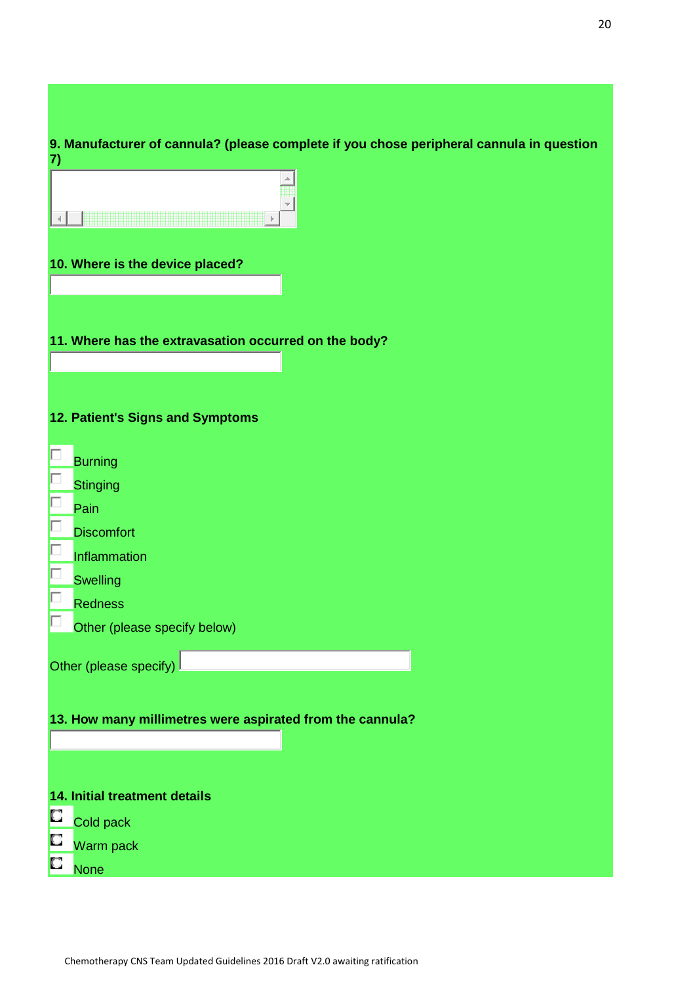| 9. Manufacturer of cannula? (please complete if you chose peripheral cannula in question<br>7) |
|------------------------------------------------------------------------------------------------|
|                                                                                                |
| 10. Where is the device placed?                                                                |
| 11. Where has the extravasation occurred on the body?                                          |
| 12. Patient's Signs and Symptoms                                                               |
| <b>Burning</b>                                                                                 |
| <b>Stinging</b>                                                                                |
| Pain                                                                                           |
| <b>Discomfort</b>                                                                              |
| Inflammation                                                                                   |
| <b>Swelling</b>                                                                                |
| <b>Redness</b>                                                                                 |
| Other (please specify below)                                                                   |
| Other (please specify)                                                                         |
| 13. How many millimetres were aspirated from the cannula?                                      |
| 14. Initial treatment details                                                                  |
| O<br>Cold pack                                                                                 |
| D<br>Warm pack                                                                                 |
| C<br><b>None</b>                                                                               |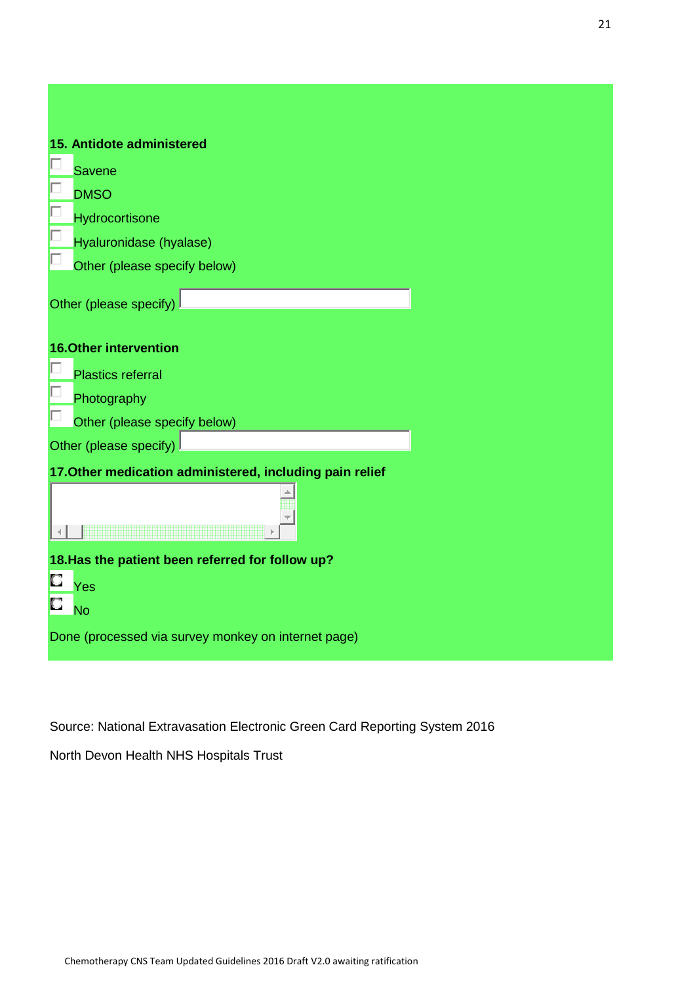| 15. Antidote administered<br><b>Savene</b><br><b>DMSO</b><br>Hydrocortisone<br>Hyaluronidase (hyalase)<br>Other (please specify below)<br>Other (please specify)<br><b>16.Other intervention</b><br><b>Plastics referral</b><br>Photography<br>Other (please specify below)<br>Other (please specify)<br>17. Other medication administered, including pain relief<br>18. Has the patient been referred for follow up?<br>О<br>Yes<br>о<br><b>No</b><br>Done (processed via survey monkey on internet page) |  |
|------------------------------------------------------------------------------------------------------------------------------------------------------------------------------------------------------------------------------------------------------------------------------------------------------------------------------------------------------------------------------------------------------------------------------------------------------------------------------------------------------------|--|
|                                                                                                                                                                                                                                                                                                                                                                                                                                                                                                            |  |
|                                                                                                                                                                                                                                                                                                                                                                                                                                                                                                            |  |
|                                                                                                                                                                                                                                                                                                                                                                                                                                                                                                            |  |
|                                                                                                                                                                                                                                                                                                                                                                                                                                                                                                            |  |
|                                                                                                                                                                                                                                                                                                                                                                                                                                                                                                            |  |
|                                                                                                                                                                                                                                                                                                                                                                                                                                                                                                            |  |
|                                                                                                                                                                                                                                                                                                                                                                                                                                                                                                            |  |
|                                                                                                                                                                                                                                                                                                                                                                                                                                                                                                            |  |
|                                                                                                                                                                                                                                                                                                                                                                                                                                                                                                            |  |
|                                                                                                                                                                                                                                                                                                                                                                                                                                                                                                            |  |
|                                                                                                                                                                                                                                                                                                                                                                                                                                                                                                            |  |
|                                                                                                                                                                                                                                                                                                                                                                                                                                                                                                            |  |
|                                                                                                                                                                                                                                                                                                                                                                                                                                                                                                            |  |
|                                                                                                                                                                                                                                                                                                                                                                                                                                                                                                            |  |
|                                                                                                                                                                                                                                                                                                                                                                                                                                                                                                            |  |
|                                                                                                                                                                                                                                                                                                                                                                                                                                                                                                            |  |
|                                                                                                                                                                                                                                                                                                                                                                                                                                                                                                            |  |
|                                                                                                                                                                                                                                                                                                                                                                                                                                                                                                            |  |
|                                                                                                                                                                                                                                                                                                                                                                                                                                                                                                            |  |
|                                                                                                                                                                                                                                                                                                                                                                                                                                                                                                            |  |

Source: National Extravasation Electronic Green Card Reporting System 2016

North Devon Health NHS Hospitals Trust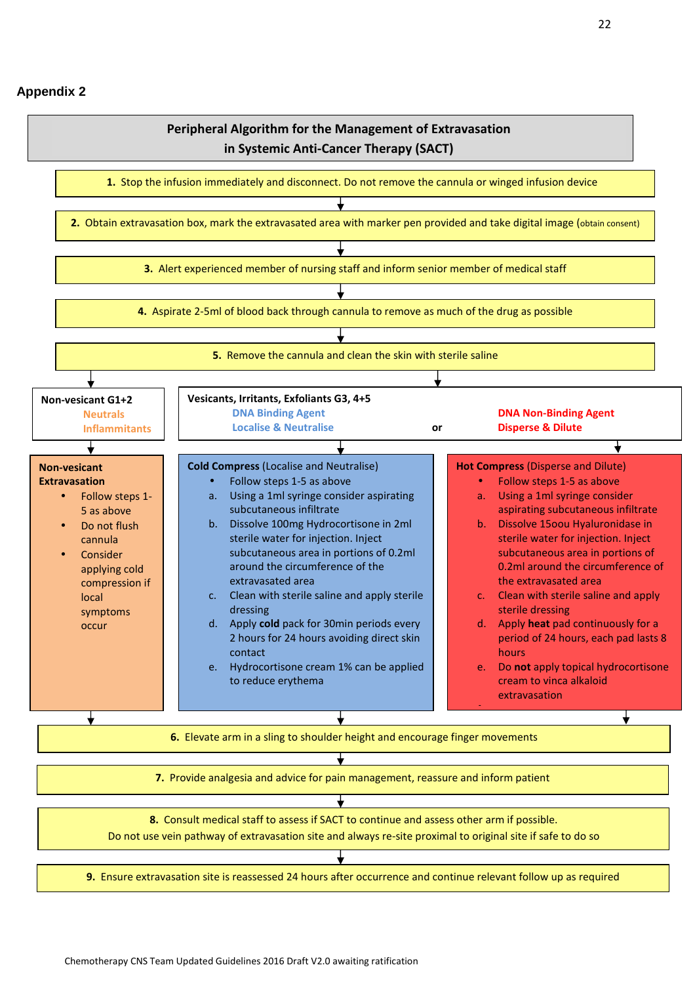#### **Appendix 2**

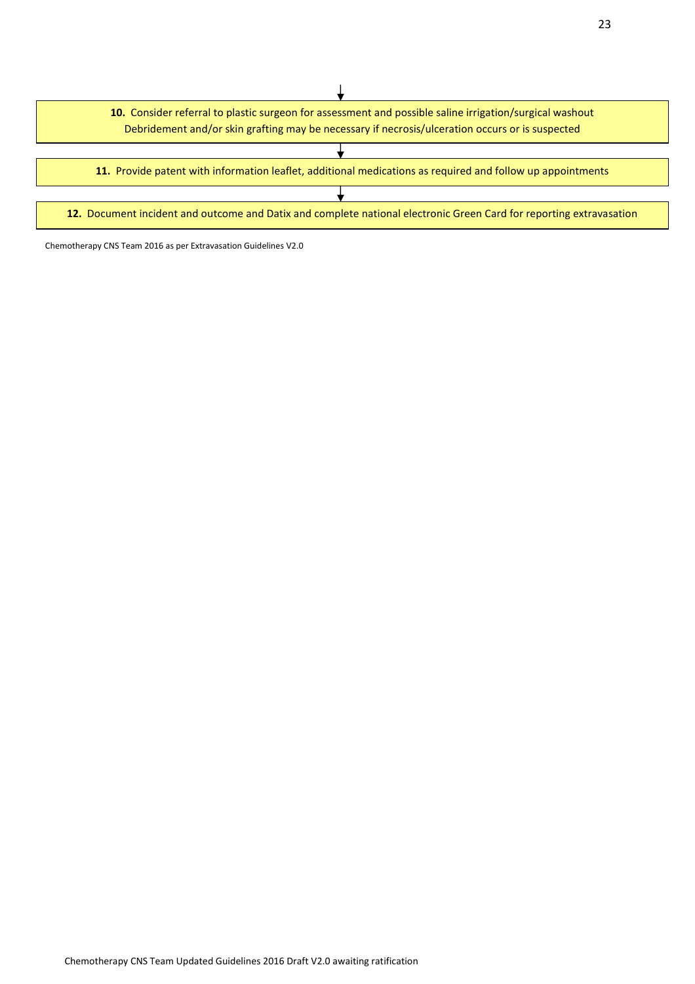

Chemotherapy CNS Team 2016 as per Extravasation Guidelines V2.0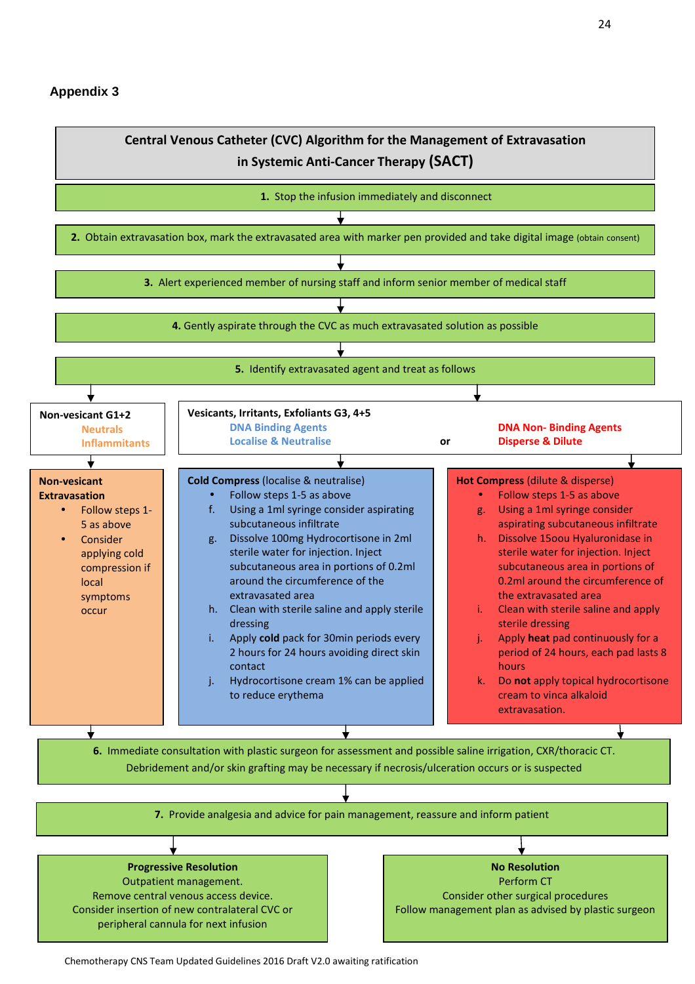#### **Appendix 3**

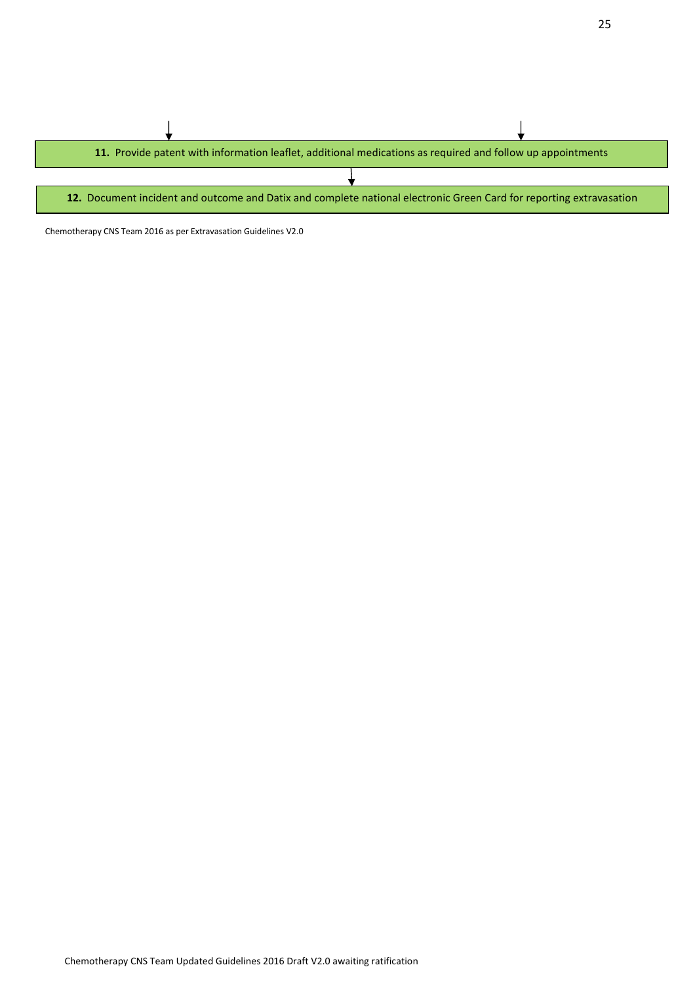

Chemotherapy CNS Team 2016 as per Extravasation Guidelines V2.0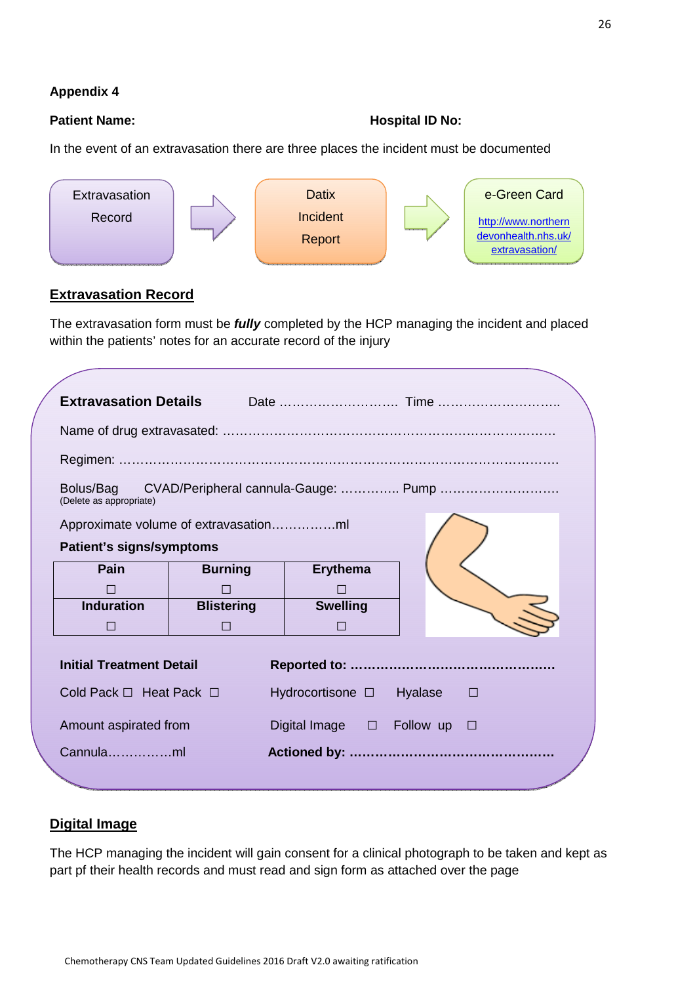## **Appendix 4**

#### Patient Name: **All Patient Name: Patient Name: Hospital ID No:**

In the event of an extravasation there are three places the incident must be documented



# **Extravasation Record**

The extravasation form must be **fully** completed by the HCP managing the incident and placed within the patients' notes for an accurate record of the injury

| <b>Extravasation Details</b>                                                 |                                       |                                |                   |  |  |
|------------------------------------------------------------------------------|---------------------------------------|--------------------------------|-------------------|--|--|
|                                                                              |                                       |                                |                   |  |  |
|                                                                              |                                       |                                |                   |  |  |
| Bolus/Bag<br>CVAD/Peripheral cannula-Gauge:  Pump<br>(Delete as appropriate) |                                       |                                |                   |  |  |
|                                                                              | Approximate volume of extravasationml |                                |                   |  |  |
| <b>Patient's signs/symptoms</b>                                              |                                       |                                |                   |  |  |
| Pain                                                                         | <b>Burning</b>                        | <b>Erythema</b>                |                   |  |  |
| H                                                                            | $\mathsf{L}$                          |                                |                   |  |  |
| <b>Induration</b>                                                            | <b>Blistering</b>                     | <b>Swelling</b>                |                   |  |  |
| $\mathsf{L}$                                                                 | П                                     | П                              |                   |  |  |
| <b>Initial Treatment Detail</b>                                              |                                       |                                |                   |  |  |
| Cold Pack $\Box$ Heat Pack $\Box$                                            |                                       | Hydrocortisone □               | Hyalase<br>$\Box$ |  |  |
| Amount aspirated from                                                        |                                       | Digital Image $\Box$ Follow up | $\Box$            |  |  |
| Cannulaml                                                                    |                                       |                                |                   |  |  |

# **Digital Image**

The HCP managing the incident will gain consent for a clinical photograph to be taken and kept as part pf their health records and must read and sign form as attached over the page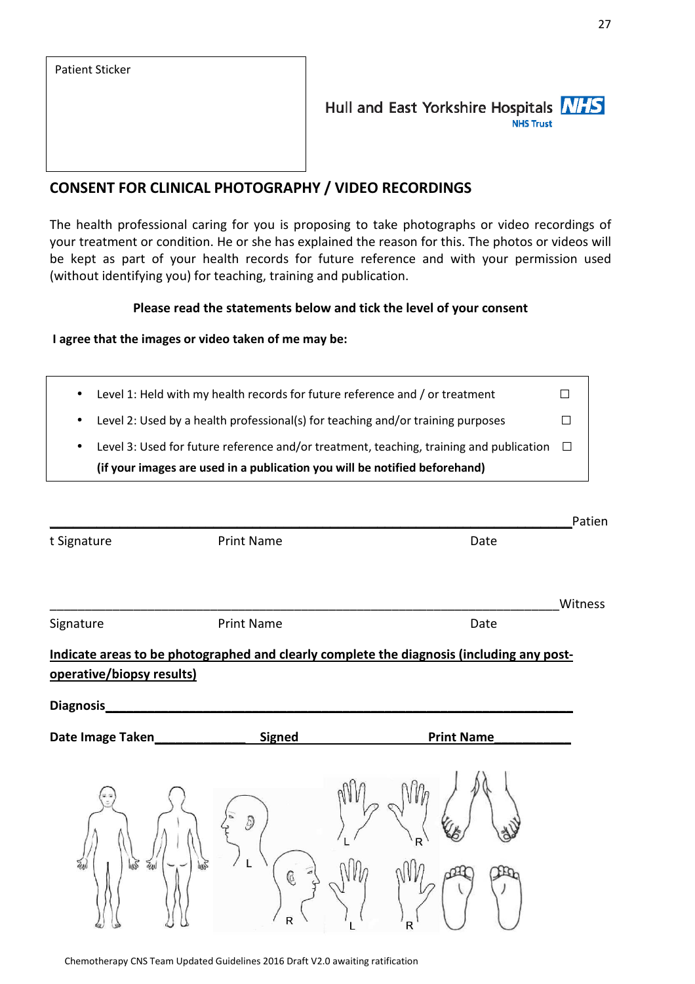# Hull and East Yorkshire Hospitals NHS **NHS Trust**

# **CONSENT FOR CLINICAL PHOTOGRAPHY / VIDEO RECORDINGS**

The health professional caring for you is proposing to take photographs or video recordings of your treatment or condition. He or she has explained the reason for this. The photos or videos will be kept as part of your health records for future reference and with your permission used (without identifying you) for teaching, training and publication.

#### **Please read the statements below and tick the level of your consent**

#### **I agree that the images or video taken of me may be:**

| (if your images are used in a publication you will be notified beforehand)              |        |
|-----------------------------------------------------------------------------------------|--------|
| Level 3: Used for future reference and/or treatment, teaching, training and publication | $\Box$ |
| Level 2: Used by a health professional(s) for teaching and/or training purposes         |        |
| Level 1: Held with my health records for future reference and / or treatment            |        |

|                           |                                 | Patien                                                                                    |
|---------------------------|---------------------------------|-------------------------------------------------------------------------------------------|
| t Signature               | <b>Print Name</b>               | Date                                                                                      |
|                           |                                 | Witness                                                                                   |
| Signature                 | Print Name                      | Date                                                                                      |
| operative/biopsy results) |                                 | Indicate areas to be photographed and clearly complete the diagnosis (including any post- |
| Diagnosis_                |                                 |                                                                                           |
| Date Image Taken_         | <b>Signed</b>                   | <b>Print Name</b>                                                                         |
| 圆<br><b>FW</b><br>Žи      | $\partial$<br>$\mathbb{G}$<br>R | $\mathsf{R}$<br>R                                                                         |